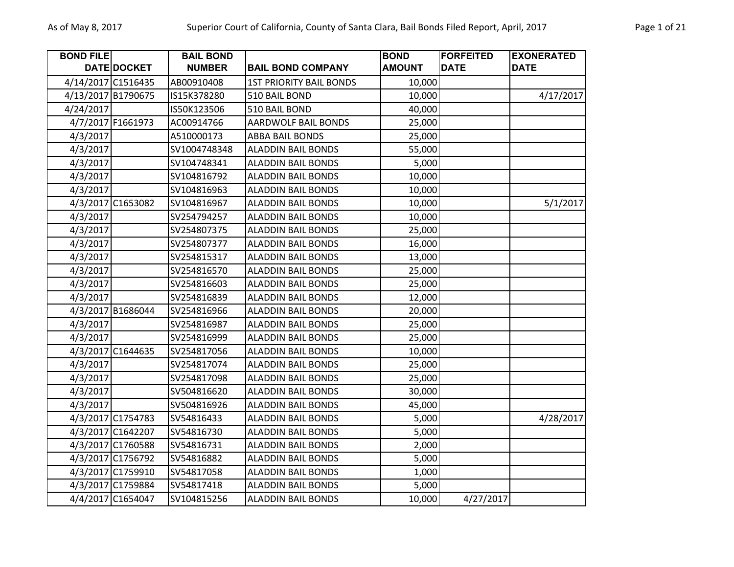| <b>BOND FILE</b> |                    | <b>BAIL BOND</b> |                                | <b>BOND</b>   | <b>FORFEITED</b> | <b>EXONERATED</b> |
|------------------|--------------------|------------------|--------------------------------|---------------|------------------|-------------------|
|                  | <b>DATE DOCKET</b> | <b>NUMBER</b>    | <b>BAIL BOND COMPANY</b>       | <b>AMOUNT</b> | <b>DATE</b>      | <b>DATE</b>       |
|                  | 4/14/2017 C1516435 | AB00910408       | <b>1ST PRIORITY BAIL BONDS</b> | 10,000        |                  |                   |
|                  | 4/13/2017 B1790675 | IS15K378280      | 510 BAIL BOND                  | 10,000        |                  | 4/17/2017         |
| 4/24/2017        |                    | IS50K123506      | 510 BAIL BOND                  | 40,000        |                  |                   |
|                  | 4/7/2017 F1661973  | AC00914766       | <b>AARDWOLF BAIL BONDS</b>     | 25,000        |                  |                   |
| 4/3/2017         |                    | A510000173       | <b>ABBA BAIL BONDS</b>         | 25,000        |                  |                   |
| 4/3/2017         |                    | SV1004748348     | <b>ALADDIN BAIL BONDS</b>      | 55,000        |                  |                   |
| 4/3/2017         |                    | SV104748341      | <b>ALADDIN BAIL BONDS</b>      | 5,000         |                  |                   |
| 4/3/2017         |                    | SV104816792      | <b>ALADDIN BAIL BONDS</b>      | 10,000        |                  |                   |
| 4/3/2017         |                    | SV104816963      | <b>ALADDIN BAIL BONDS</b>      | 10,000        |                  |                   |
|                  | 4/3/2017 C1653082  | SV104816967      | <b>ALADDIN BAIL BONDS</b>      | 10,000        |                  | 5/1/2017          |
| 4/3/2017         |                    | SV254794257      | <b>ALADDIN BAIL BONDS</b>      | 10,000        |                  |                   |
| 4/3/2017         |                    | SV254807375      | <b>ALADDIN BAIL BONDS</b>      | 25,000        |                  |                   |
| 4/3/2017         |                    | SV254807377      | <b>ALADDIN BAIL BONDS</b>      | 16,000        |                  |                   |
| 4/3/2017         |                    | SV254815317      | <b>ALADDIN BAIL BONDS</b>      | 13,000        |                  |                   |
| 4/3/2017         |                    | SV254816570      | <b>ALADDIN BAIL BONDS</b>      | 25,000        |                  |                   |
| 4/3/2017         |                    | SV254816603      | <b>ALADDIN BAIL BONDS</b>      | 25,000        |                  |                   |
| 4/3/2017         |                    | SV254816839      | <b>ALADDIN BAIL BONDS</b>      | 12,000        |                  |                   |
|                  | 4/3/2017 B1686044  | SV254816966      | <b>ALADDIN BAIL BONDS</b>      | 20,000        |                  |                   |
| 4/3/2017         |                    | SV254816987      | <b>ALADDIN BAIL BONDS</b>      | 25,000        |                  |                   |
| 4/3/2017         |                    | SV254816999      | <b>ALADDIN BAIL BONDS</b>      | 25,000        |                  |                   |
|                  | 4/3/2017 C1644635  | SV254817056      | <b>ALADDIN BAIL BONDS</b>      | 10,000        |                  |                   |
| 4/3/2017         |                    | SV254817074      | <b>ALADDIN BAIL BONDS</b>      | 25,000        |                  |                   |
| 4/3/2017         |                    | SV254817098      | <b>ALADDIN BAIL BONDS</b>      | 25,000        |                  |                   |
| 4/3/2017         |                    | SV504816620      | <b>ALADDIN BAIL BONDS</b>      | 30,000        |                  |                   |
| 4/3/2017         |                    | SV504816926      | <b>ALADDIN BAIL BONDS</b>      | 45,000        |                  |                   |
|                  | 4/3/2017 C1754783  | SV54816433       | <b>ALADDIN BAIL BONDS</b>      | 5,000         |                  | 4/28/2017         |
|                  | 4/3/2017 C1642207  | SV54816730       | <b>ALADDIN BAIL BONDS</b>      | 5,000         |                  |                   |
|                  | 4/3/2017 C1760588  | SV54816731       | <b>ALADDIN BAIL BONDS</b>      | 2,000         |                  |                   |
|                  | 4/3/2017 C1756792  | SV54816882       | <b>ALADDIN BAIL BONDS</b>      | 5,000         |                  |                   |
|                  | 4/3/2017 C1759910  | SV54817058       | <b>ALADDIN BAIL BONDS</b>      | 1,000         |                  |                   |
|                  | 4/3/2017 C1759884  | SV54817418       | <b>ALADDIN BAIL BONDS</b>      | 5,000         |                  |                   |
|                  | 4/4/2017 C1654047  | SV104815256      | <b>ALADDIN BAIL BONDS</b>      | 10,000        | 4/27/2017        |                   |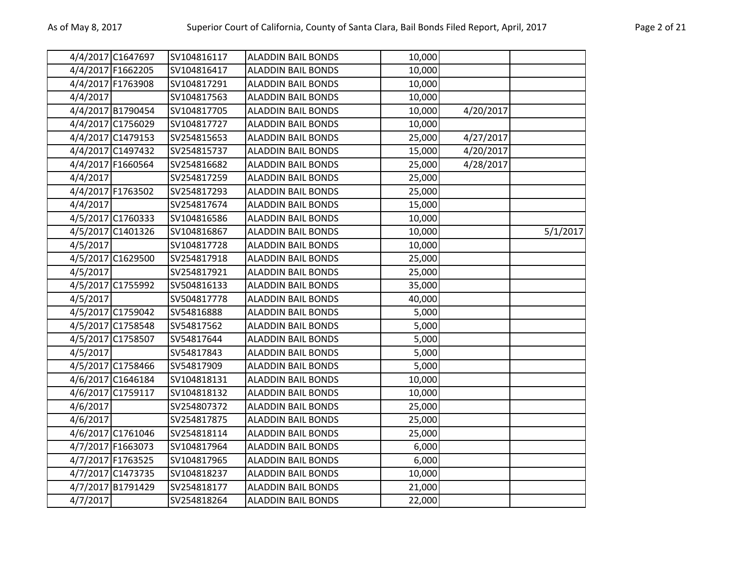|          | 4/4/2017 C1647697 | SV104816117 | <b>ALADDIN BAIL BONDS</b> | 10,000 |           |          |
|----------|-------------------|-------------|---------------------------|--------|-----------|----------|
|          | 4/4/2017 F1662205 | SV104816417 | <b>ALADDIN BAIL BONDS</b> | 10,000 |           |          |
|          | 4/4/2017 F1763908 | SV104817291 | <b>ALADDIN BAIL BONDS</b> | 10,000 |           |          |
| 4/4/2017 |                   | SV104817563 | <b>ALADDIN BAIL BONDS</b> | 10,000 |           |          |
|          | 4/4/2017 B1790454 | SV104817705 | <b>ALADDIN BAIL BONDS</b> | 10,000 | 4/20/2017 |          |
|          | 4/4/2017 C1756029 | SV104817727 | <b>ALADDIN BAIL BONDS</b> | 10,000 |           |          |
|          | 4/4/2017 C1479153 | SV254815653 | <b>ALADDIN BAIL BONDS</b> | 25,000 | 4/27/2017 |          |
|          | 4/4/2017 C1497432 | SV254815737 | <b>ALADDIN BAIL BONDS</b> | 15,000 | 4/20/2017 |          |
|          | 4/4/2017 F1660564 | SV254816682 | <b>ALADDIN BAIL BONDS</b> | 25,000 | 4/28/2017 |          |
| 4/4/2017 |                   | SV254817259 | <b>ALADDIN BAIL BONDS</b> | 25,000 |           |          |
|          | 4/4/2017 F1763502 | SV254817293 | <b>ALADDIN BAIL BONDS</b> | 25,000 |           |          |
| 4/4/2017 |                   | SV254817674 | <b>ALADDIN BAIL BONDS</b> | 15,000 |           |          |
|          | 4/5/2017 C1760333 | SV104816586 | <b>ALADDIN BAIL BONDS</b> | 10,000 |           |          |
|          | 4/5/2017 C1401326 | SV104816867 | <b>ALADDIN BAIL BONDS</b> | 10,000 |           | 5/1/2017 |
| 4/5/2017 |                   | SV104817728 | <b>ALADDIN BAIL BONDS</b> | 10,000 |           |          |
|          | 4/5/2017 C1629500 | SV254817918 | <b>ALADDIN BAIL BONDS</b> | 25,000 |           |          |
| 4/5/2017 |                   | SV254817921 | <b>ALADDIN BAIL BONDS</b> | 25,000 |           |          |
|          | 4/5/2017 C1755992 | SV504816133 | <b>ALADDIN BAIL BONDS</b> | 35,000 |           |          |
| 4/5/2017 |                   | SV504817778 | <b>ALADDIN BAIL BONDS</b> | 40,000 |           |          |
|          | 4/5/2017 C1759042 | SV54816888  | <b>ALADDIN BAIL BONDS</b> | 5,000  |           |          |
|          | 4/5/2017 C1758548 | SV54817562  | <b>ALADDIN BAIL BONDS</b> | 5,000  |           |          |
|          | 4/5/2017 C1758507 | SV54817644  | <b>ALADDIN BAIL BONDS</b> | 5,000  |           |          |
| 4/5/2017 |                   | SV54817843  | <b>ALADDIN BAIL BONDS</b> | 5,000  |           |          |
|          | 4/5/2017 C1758466 | SV54817909  | <b>ALADDIN BAIL BONDS</b> | 5,000  |           |          |
|          | 4/6/2017 C1646184 | SV104818131 | <b>ALADDIN BAIL BONDS</b> | 10,000 |           |          |
|          | 4/6/2017 C1759117 | SV104818132 | <b>ALADDIN BAIL BONDS</b> | 10,000 |           |          |
| 4/6/2017 |                   | SV254807372 | <b>ALADDIN BAIL BONDS</b> | 25,000 |           |          |
| 4/6/2017 |                   | SV254817875 | <b>ALADDIN BAIL BONDS</b> | 25,000 |           |          |
|          | 4/6/2017 C1761046 | SV254818114 | <b>ALADDIN BAIL BONDS</b> | 25,000 |           |          |
|          | 4/7/2017 F1663073 | SV104817964 | <b>ALADDIN BAIL BONDS</b> | 6,000  |           |          |
|          | 4/7/2017 F1763525 | SV104817965 | <b>ALADDIN BAIL BONDS</b> | 6,000  |           |          |
|          | 4/7/2017 C1473735 | SV104818237 | <b>ALADDIN BAIL BONDS</b> | 10,000 |           |          |
|          | 4/7/2017 B1791429 | SV254818177 | <b>ALADDIN BAIL BONDS</b> | 21,000 |           |          |
| 4/7/2017 |                   | SV254818264 | <b>ALADDIN BAIL BONDS</b> | 22,000 |           |          |
|          |                   |             |                           |        |           |          |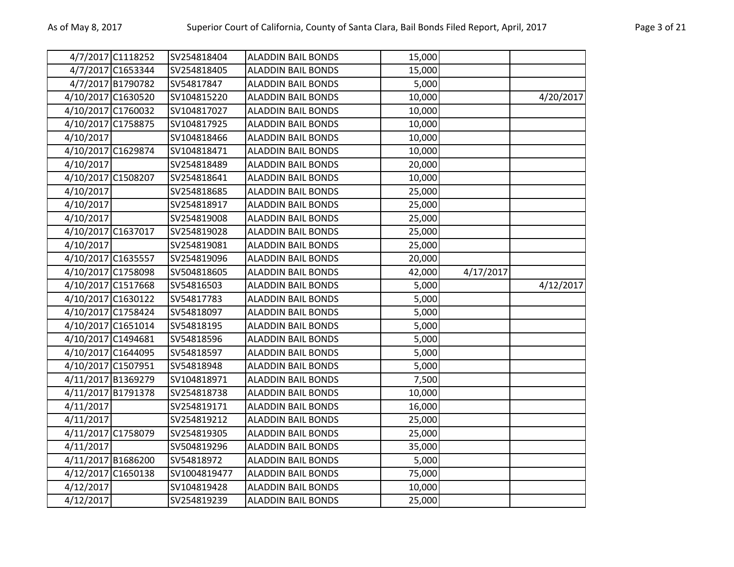|           | 4/7/2017 C1118252  | SV254818404  | <b>ALADDIN BAIL BONDS</b> | 15,000 |           |           |
|-----------|--------------------|--------------|---------------------------|--------|-----------|-----------|
|           | 4/7/2017 C1653344  | SV254818405  | <b>ALADDIN BAIL BONDS</b> | 15,000 |           |           |
|           | 4/7/2017 B1790782  | SV54817847   | <b>ALADDIN BAIL BONDS</b> | 5,000  |           |           |
|           | 4/10/2017 C1630520 | SV104815220  | <b>ALADDIN BAIL BONDS</b> | 10,000 |           | 4/20/2017 |
|           | 4/10/2017 C1760032 | SV104817027  | <b>ALADDIN BAIL BONDS</b> | 10,000 |           |           |
|           | 4/10/2017 C1758875 | SV104817925  | <b>ALADDIN BAIL BONDS</b> | 10,000 |           |           |
| 4/10/2017 |                    | SV104818466  | <b>ALADDIN BAIL BONDS</b> | 10,000 |           |           |
|           | 4/10/2017 C1629874 | SV104818471  | <b>ALADDIN BAIL BONDS</b> | 10,000 |           |           |
| 4/10/2017 |                    | SV254818489  | <b>ALADDIN BAIL BONDS</b> | 20,000 |           |           |
|           | 4/10/2017 C1508207 | SV254818641  | ALADDIN BAIL BONDS        | 10,000 |           |           |
| 4/10/2017 |                    | SV254818685  | <b>ALADDIN BAIL BONDS</b> | 25,000 |           |           |
| 4/10/2017 |                    | SV254818917  | <b>ALADDIN BAIL BONDS</b> | 25,000 |           |           |
| 4/10/2017 |                    | SV254819008  | <b>ALADDIN BAIL BONDS</b> | 25,000 |           |           |
|           | 4/10/2017 C1637017 | SV254819028  | <b>ALADDIN BAIL BONDS</b> | 25,000 |           |           |
| 4/10/2017 |                    | SV254819081  | <b>ALADDIN BAIL BONDS</b> | 25,000 |           |           |
|           | 4/10/2017 C1635557 | SV254819096  | <b>ALADDIN BAIL BONDS</b> | 20,000 |           |           |
|           | 4/10/2017 C1758098 | SV504818605  | <b>ALADDIN BAIL BONDS</b> | 42,000 | 4/17/2017 |           |
|           | 4/10/2017 C1517668 | SV54816503   | <b>ALADDIN BAIL BONDS</b> | 5,000  |           | 4/12/2017 |
|           | 4/10/2017 C1630122 | SV54817783   | <b>ALADDIN BAIL BONDS</b> | 5,000  |           |           |
|           | 4/10/2017 C1758424 | SV54818097   | <b>ALADDIN BAIL BONDS</b> | 5,000  |           |           |
|           | 4/10/2017 C1651014 | SV54818195   | <b>ALADDIN BAIL BONDS</b> | 5,000  |           |           |
|           | 4/10/2017 C1494681 | SV54818596   | <b>ALADDIN BAIL BONDS</b> | 5,000  |           |           |
|           | 4/10/2017 C1644095 | SV54818597   | <b>ALADDIN BAIL BONDS</b> | 5,000  |           |           |
|           | 4/10/2017 C1507951 | SV54818948   | ALADDIN BAIL BONDS        | 5,000  |           |           |
|           | 4/11/2017 B1369279 | SV104818971  | <b>ALADDIN BAIL BONDS</b> | 7,500  |           |           |
|           | 4/11/2017 B1791378 | SV254818738  | <b>ALADDIN BAIL BONDS</b> | 10,000 |           |           |
| 4/11/2017 |                    | SV254819171  | <b>ALADDIN BAIL BONDS</b> | 16,000 |           |           |
| 4/11/2017 |                    | SV254819212  | <b>ALADDIN BAIL BONDS</b> | 25,000 |           |           |
|           | 4/11/2017 C1758079 | SV254819305  | <b>ALADDIN BAIL BONDS</b> | 25,000 |           |           |
| 4/11/2017 |                    | SV504819296  | <b>ALADDIN BAIL BONDS</b> | 35,000 |           |           |
|           | 4/11/2017 B1686200 | SV54818972   | <b>ALADDIN BAIL BONDS</b> | 5,000  |           |           |
|           | 4/12/2017 C1650138 | SV1004819477 | <b>ALADDIN BAIL BONDS</b> | 75,000 |           |           |
| 4/12/2017 |                    | SV104819428  | <b>ALADDIN BAIL BONDS</b> | 10,000 |           |           |
| 4/12/2017 |                    | SV254819239  | <b>ALADDIN BAIL BONDS</b> | 25,000 |           |           |
|           |                    |              |                           |        |           |           |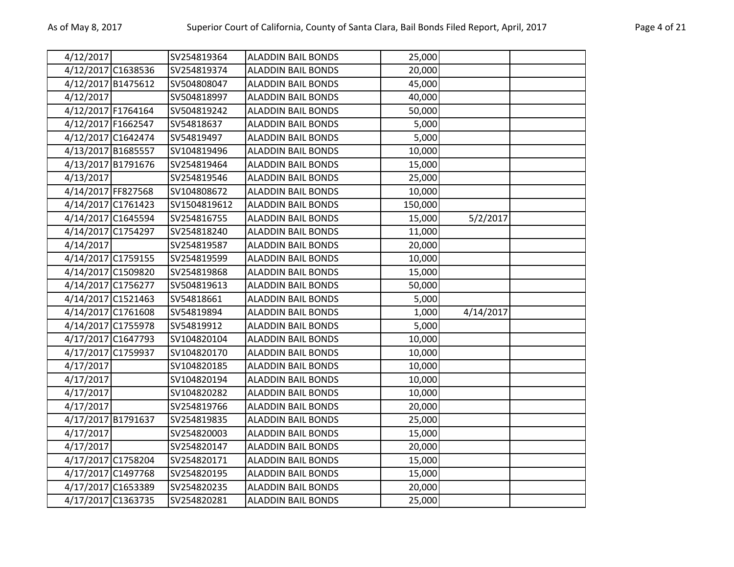| 4/12/2017          | SV254819364  | <b>ALADDIN BAIL BONDS</b> | 25,000  |           |  |
|--------------------|--------------|---------------------------|---------|-----------|--|
| 4/12/2017 C1638536 | SV254819374  | <b>ALADDIN BAIL BONDS</b> | 20,000  |           |  |
| 4/12/2017 B1475612 | SV504808047  | <b>ALADDIN BAIL BONDS</b> | 45,000  |           |  |
| 4/12/2017          | SV504818997  | <b>ALADDIN BAIL BONDS</b> | 40,000  |           |  |
| 4/12/2017 F1764164 | SV504819242  | <b>ALADDIN BAIL BONDS</b> | 50,000  |           |  |
| 4/12/2017 F1662547 | SV54818637   | <b>ALADDIN BAIL BONDS</b> | 5,000   |           |  |
| 4/12/2017 C1642474 | SV54819497   | <b>ALADDIN BAIL BONDS</b> | 5,000   |           |  |
| 4/13/2017 B1685557 | SV104819496  | <b>ALADDIN BAIL BONDS</b> | 10,000  |           |  |
| 4/13/2017 B1791676 | SV254819464  | <b>ALADDIN BAIL BONDS</b> | 15,000  |           |  |
| 4/13/2017          | SV254819546  | <b>ALADDIN BAIL BONDS</b> | 25,000  |           |  |
| 4/14/2017 FF827568 | SV104808672  | <b>ALADDIN BAIL BONDS</b> | 10,000  |           |  |
| 4/14/2017 C1761423 | SV1504819612 | <b>ALADDIN BAIL BONDS</b> | 150,000 |           |  |
| 4/14/2017 C1645594 | SV254816755  | <b>ALADDIN BAIL BONDS</b> | 15,000  | 5/2/2017  |  |
| 4/14/2017 C1754297 | SV254818240  | <b>ALADDIN BAIL BONDS</b> | 11,000  |           |  |
| 4/14/2017          | SV254819587  | <b>ALADDIN BAIL BONDS</b> | 20,000  |           |  |
| 4/14/2017 C1759155 | SV254819599  | <b>ALADDIN BAIL BONDS</b> | 10,000  |           |  |
| 4/14/2017 C1509820 | SV254819868  | <b>ALADDIN BAIL BONDS</b> | 15,000  |           |  |
| 4/14/2017 C1756277 | SV504819613  | <b>ALADDIN BAIL BONDS</b> | 50,000  |           |  |
| 4/14/2017 C1521463 | SV54818661   | <b>ALADDIN BAIL BONDS</b> | 5,000   |           |  |
| 4/14/2017 C1761608 | SV54819894   | <b>ALADDIN BAIL BONDS</b> | 1,000   | 4/14/2017 |  |
| 4/14/2017 C1755978 | SV54819912   | <b>ALADDIN BAIL BONDS</b> | 5,000   |           |  |
| 4/17/2017 C1647793 | SV104820104  | <b>ALADDIN BAIL BONDS</b> | 10,000  |           |  |
| 4/17/2017 C1759937 | SV104820170  | <b>ALADDIN BAIL BONDS</b> | 10,000  |           |  |
| 4/17/2017          | SV104820185  | <b>ALADDIN BAIL BONDS</b> | 10,000  |           |  |
| 4/17/2017          | SV104820194  | <b>ALADDIN BAIL BONDS</b> | 10,000  |           |  |
| 4/17/2017          | SV104820282  | <b>ALADDIN BAIL BONDS</b> | 10,000  |           |  |
| 4/17/2017          | SV254819766  | <b>ALADDIN BAIL BONDS</b> | 20,000  |           |  |
| 4/17/2017 B1791637 | SV254819835  | <b>ALADDIN BAIL BONDS</b> | 25,000  |           |  |
| 4/17/2017          | SV254820003  | <b>ALADDIN BAIL BONDS</b> | 15,000  |           |  |
| 4/17/2017          | SV254820147  | <b>ALADDIN BAIL BONDS</b> | 20,000  |           |  |
| 4/17/2017 C1758204 | SV254820171  | <b>ALADDIN BAIL BONDS</b> | 15,000  |           |  |
| 4/17/2017 C1497768 | SV254820195  | <b>ALADDIN BAIL BONDS</b> | 15,000  |           |  |
| 4/17/2017 C1653389 | SV254820235  | <b>ALADDIN BAIL BONDS</b> | 20,000  |           |  |
| 4/17/2017 C1363735 | SV254820281  | <b>ALADDIN BAIL BONDS</b> | 25,000  |           |  |
|                    |              |                           |         |           |  |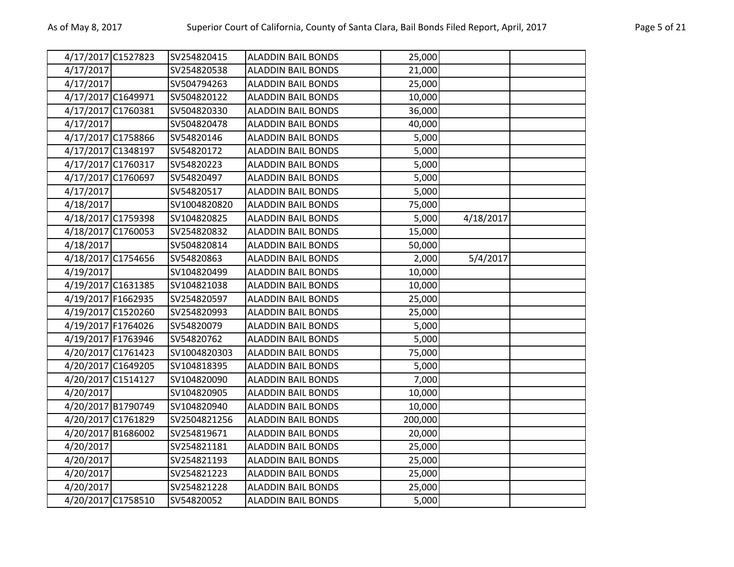|           | 4/17/2017 C1527823 | SV254820415  | <b>ALADDIN BAIL BONDS</b> | 25,000  |           |  |
|-----------|--------------------|--------------|---------------------------|---------|-----------|--|
| 4/17/2017 |                    | SV254820538  | <b>ALADDIN BAIL BONDS</b> | 21,000  |           |  |
| 4/17/2017 |                    | SV504794263  | <b>ALADDIN BAIL BONDS</b> | 25,000  |           |  |
|           | 4/17/2017 C1649971 | SV504820122  | <b>ALADDIN BAIL BONDS</b> | 10,000  |           |  |
|           | 4/17/2017 C1760381 | SV504820330  | <b>ALADDIN BAIL BONDS</b> | 36,000  |           |  |
| 4/17/2017 |                    | SV504820478  | <b>ALADDIN BAIL BONDS</b> | 40,000  |           |  |
|           | 4/17/2017 C1758866 | SV54820146   | <b>ALADDIN BAIL BONDS</b> | 5,000   |           |  |
|           | 4/17/2017 C1348197 | SV54820172   | <b>ALADDIN BAIL BONDS</b> | 5,000   |           |  |
|           | 4/17/2017 C1760317 | SV54820223   | <b>ALADDIN BAIL BONDS</b> | 5,000   |           |  |
|           | 4/17/2017 C1760697 | SV54820497   | <b>ALADDIN BAIL BONDS</b> | 5,000   |           |  |
| 4/17/2017 |                    | SV54820517   | <b>ALADDIN BAIL BONDS</b> | 5,000   |           |  |
| 4/18/2017 |                    | SV1004820820 | <b>ALADDIN BAIL BONDS</b> | 75,000  |           |  |
|           | 4/18/2017 C1759398 | SV104820825  | <b>ALADDIN BAIL BONDS</b> | 5,000   | 4/18/2017 |  |
|           | 4/18/2017 C1760053 | SV254820832  | <b>ALADDIN BAIL BONDS</b> | 15,000  |           |  |
| 4/18/2017 |                    | SV504820814  | <b>ALADDIN BAIL BONDS</b> | 50,000  |           |  |
|           | 4/18/2017 C1754656 | SV54820863   | <b>ALADDIN BAIL BONDS</b> | 2,000   | 5/4/2017  |  |
| 4/19/2017 |                    | SV104820499  | <b>ALADDIN BAIL BONDS</b> | 10,000  |           |  |
|           | 4/19/2017 C1631385 | SV104821038  | <b>ALADDIN BAIL BONDS</b> | 10,000  |           |  |
|           | 4/19/2017 F1662935 | SV254820597  | <b>ALADDIN BAIL BONDS</b> | 25,000  |           |  |
|           | 4/19/2017 C1520260 | SV254820993  | <b>ALADDIN BAIL BONDS</b> | 25,000  |           |  |
|           | 4/19/2017 F1764026 | SV54820079   | <b>ALADDIN BAIL BONDS</b> | 5,000   |           |  |
|           | 4/19/2017 F1763946 | SV54820762   | <b>ALADDIN BAIL BONDS</b> | 5,000   |           |  |
|           | 4/20/2017 C1761423 | SV1004820303 | <b>ALADDIN BAIL BONDS</b> | 75,000  |           |  |
|           | 4/20/2017 C1649205 | SV104818395  | <b>ALADDIN BAIL BONDS</b> | 5,000   |           |  |
|           | 4/20/2017 C1514127 | SV104820090  | <b>ALADDIN BAIL BONDS</b> | 7,000   |           |  |
| 4/20/2017 |                    | SV104820905  | <b>ALADDIN BAIL BONDS</b> | 10,000  |           |  |
|           | 4/20/2017 B1790749 | SV104820940  | <b>ALADDIN BAIL BONDS</b> | 10,000  |           |  |
|           | 4/20/2017 C1761829 | SV2504821256 | <b>ALADDIN BAIL BONDS</b> | 200,000 |           |  |
|           | 4/20/2017 B1686002 | SV254819671  | <b>ALADDIN BAIL BONDS</b> | 20,000  |           |  |
| 4/20/2017 |                    | SV254821181  | <b>ALADDIN BAIL BONDS</b> | 25,000  |           |  |
| 4/20/2017 |                    | SV254821193  | <b>ALADDIN BAIL BONDS</b> | 25,000  |           |  |
| 4/20/2017 |                    | SV254821223  | <b>ALADDIN BAIL BONDS</b> | 25,000  |           |  |
| 4/20/2017 |                    | SV254821228  | <b>ALADDIN BAIL BONDS</b> | 25,000  |           |  |
|           | 4/20/2017 C1758510 | SV54820052   | <b>ALADDIN BAIL BONDS</b> | 5,000   |           |  |
|           |                    |              |                           |         |           |  |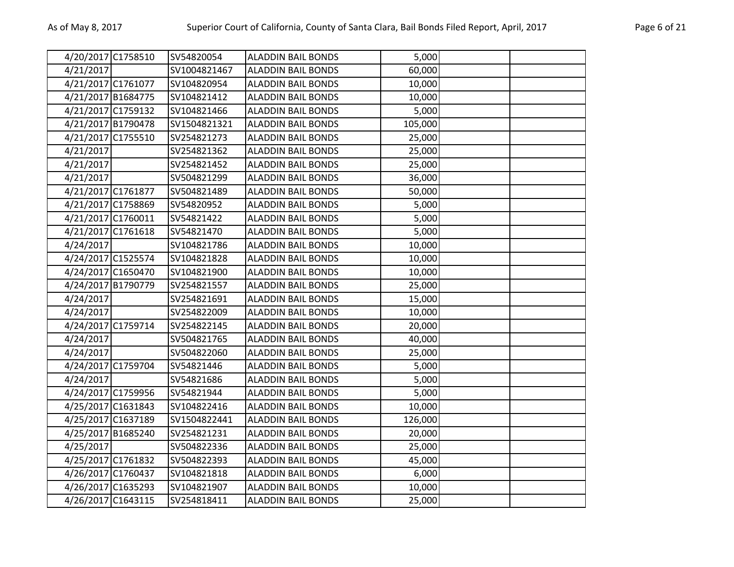| 4/20/2017 C1758510 | SV54820054   | <b>ALADDIN BAIL BONDS</b> | 5,000   |  |
|--------------------|--------------|---------------------------|---------|--|
| 4/21/2017          | SV1004821467 | <b>ALADDIN BAIL BONDS</b> | 60,000  |  |
| 4/21/2017 C1761077 | SV104820954  | <b>ALADDIN BAIL BONDS</b> | 10,000  |  |
| 4/21/2017 B1684775 | SV104821412  | <b>ALADDIN BAIL BONDS</b> | 10,000  |  |
| 4/21/2017 C1759132 | SV104821466  | <b>ALADDIN BAIL BONDS</b> | 5,000   |  |
| 4/21/2017 B1790478 | SV1504821321 | <b>ALADDIN BAIL BONDS</b> | 105,000 |  |
| 4/21/2017 C1755510 | SV254821273  | <b>ALADDIN BAIL BONDS</b> | 25,000  |  |
| 4/21/2017          | SV254821362  | <b>ALADDIN BAIL BONDS</b> | 25,000  |  |
| 4/21/2017          | SV254821452  | <b>ALADDIN BAIL BONDS</b> | 25,000  |  |
| 4/21/2017          | SV504821299  | <b>ALADDIN BAIL BONDS</b> | 36,000  |  |
| 4/21/2017 C1761877 | SV504821489  | <b>ALADDIN BAIL BONDS</b> | 50,000  |  |
| 4/21/2017 C1758869 | SV54820952   | <b>ALADDIN BAIL BONDS</b> | 5,000   |  |
| 4/21/2017 C1760011 | SV54821422   | <b>ALADDIN BAIL BONDS</b> | 5,000   |  |
| 4/21/2017 C1761618 | SV54821470   | <b>ALADDIN BAIL BONDS</b> | 5,000   |  |
| 4/24/2017          | SV104821786  | <b>ALADDIN BAIL BONDS</b> | 10,000  |  |
| 4/24/2017 C1525574 | SV104821828  | <b>ALADDIN BAIL BONDS</b> | 10,000  |  |
| 4/24/2017 C1650470 | SV104821900  | <b>ALADDIN BAIL BONDS</b> | 10,000  |  |
| 4/24/2017 B1790779 | SV254821557  | <b>ALADDIN BAIL BONDS</b> | 25,000  |  |
| 4/24/2017          | SV254821691  | <b>ALADDIN BAIL BONDS</b> | 15,000  |  |
| 4/24/2017          | SV254822009  | <b>ALADDIN BAIL BONDS</b> | 10,000  |  |
| 4/24/2017 C1759714 | SV254822145  | <b>ALADDIN BAIL BONDS</b> | 20,000  |  |
| 4/24/2017          | SV504821765  | <b>ALADDIN BAIL BONDS</b> | 40,000  |  |
| 4/24/2017          | SV504822060  | <b>ALADDIN BAIL BONDS</b> | 25,000  |  |
| 4/24/2017 C1759704 | SV54821446   | <b>ALADDIN BAIL BONDS</b> | 5,000   |  |
| 4/24/2017          | SV54821686   | <b>ALADDIN BAIL BONDS</b> | 5,000   |  |
| 4/24/2017 C1759956 | SV54821944   | <b>ALADDIN BAIL BONDS</b> | 5,000   |  |
| 4/25/2017 C1631843 | SV104822416  | <b>ALADDIN BAIL BONDS</b> | 10,000  |  |
| 4/25/2017 C1637189 | SV1504822441 | <b>ALADDIN BAIL BONDS</b> | 126,000 |  |
| 4/25/2017 B1685240 | SV254821231  | <b>ALADDIN BAIL BONDS</b> | 20,000  |  |
| 4/25/2017          | SV504822336  | <b>ALADDIN BAIL BONDS</b> | 25,000  |  |
| 4/25/2017 C1761832 | SV504822393  | <b>ALADDIN BAIL BONDS</b> | 45,000  |  |
| 4/26/2017 C1760437 | SV104821818  | <b>ALADDIN BAIL BONDS</b> | 6,000   |  |
| 4/26/2017 C1635293 | SV104821907  | <b>ALADDIN BAIL BONDS</b> | 10,000  |  |
| 4/26/2017 C1643115 | SV254818411  | <b>ALADDIN BAIL BONDS</b> | 25,000  |  |
|                    |              |                           |         |  |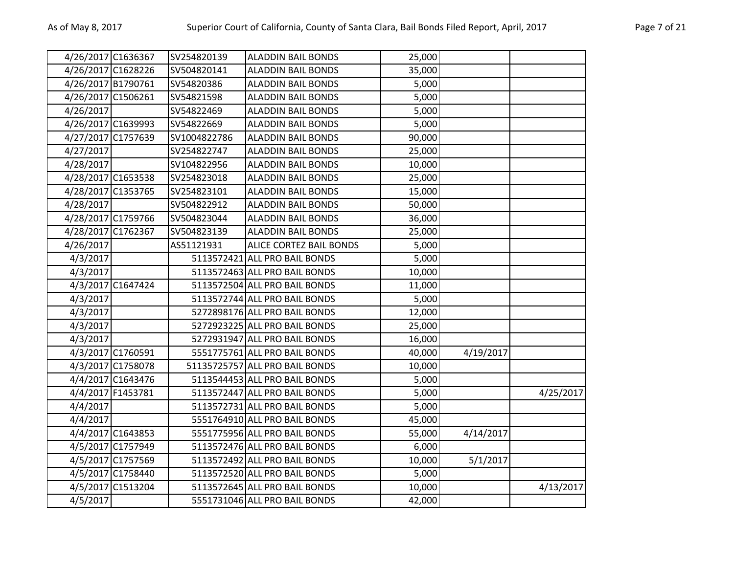| 4/26/2017 C1636367 |                   | SV254820139  | <b>ALADDIN BAIL BONDS</b>      | 25,000 |           |           |
|--------------------|-------------------|--------------|--------------------------------|--------|-----------|-----------|
| 4/26/2017 C1628226 |                   | SV504820141  | <b>ALADDIN BAIL BONDS</b>      | 35,000 |           |           |
| 4/26/2017 B1790761 |                   | SV54820386   | <b>ALADDIN BAIL BONDS</b>      | 5,000  |           |           |
| 4/26/2017 C1506261 |                   | SV54821598   | <b>ALADDIN BAIL BONDS</b>      | 5,000  |           |           |
| 4/26/2017          |                   | SV54822469   | <b>ALADDIN BAIL BONDS</b>      | 5,000  |           |           |
| 4/26/2017 C1639993 |                   | SV54822669   | <b>ALADDIN BAIL BONDS</b>      | 5,000  |           |           |
| 4/27/2017 C1757639 |                   | SV1004822786 | <b>ALADDIN BAIL BONDS</b>      | 90,000 |           |           |
| 4/27/2017          |                   | SV254822747  | <b>ALADDIN BAIL BONDS</b>      | 25,000 |           |           |
| 4/28/2017          |                   | SV104822956  | <b>ALADDIN BAIL BONDS</b>      | 10,000 |           |           |
| 4/28/2017 C1653538 |                   | SV254823018  | <b>ALADDIN BAIL BONDS</b>      | 25,000 |           |           |
| 4/28/2017 C1353765 |                   | SV254823101  | <b>ALADDIN BAIL BONDS</b>      | 15,000 |           |           |
| 4/28/2017          |                   | SV504822912  | <b>ALADDIN BAIL BONDS</b>      | 50,000 |           |           |
| 4/28/2017 C1759766 |                   | SV504823044  | <b>ALADDIN BAIL BONDS</b>      | 36,000 |           |           |
| 4/28/2017 C1762367 |                   | SV504823139  | <b>ALADDIN BAIL BONDS</b>      | 25,000 |           |           |
| 4/26/2017          |                   | AS51121931   | ALICE CORTEZ BAIL BONDS        | 5,000  |           |           |
| 4/3/2017           |                   |              | 5113572421 ALL PRO BAIL BONDS  | 5,000  |           |           |
| 4/3/2017           |                   |              | 5113572463 ALL PRO BAIL BONDS  | 10,000 |           |           |
|                    | 4/3/2017 C1647424 |              | 5113572504 ALL PRO BAIL BONDS  | 11,000 |           |           |
| 4/3/2017           |                   |              | 5113572744 ALL PRO BAIL BONDS  | 5,000  |           |           |
| 4/3/2017           |                   |              | 5272898176 ALL PRO BAIL BONDS  | 12,000 |           |           |
| 4/3/2017           |                   |              | 5272923225 ALL PRO BAIL BONDS  | 25,000 |           |           |
| 4/3/2017           |                   |              | 5272931947 ALL PRO BAIL BONDS  | 16,000 |           |           |
|                    | 4/3/2017 C1760591 |              | 5551775761 ALL PRO BAIL BONDS  | 40,000 | 4/19/2017 |           |
|                    | 4/3/2017 C1758078 |              | 51135725757 ALL PRO BAIL BONDS | 10,000 |           |           |
|                    | 4/4/2017 C1643476 |              | 5113544453 ALL PRO BAIL BONDS  | 5,000  |           |           |
|                    | 4/4/2017 F1453781 |              | 5113572447 ALL PRO BAIL BONDS  | 5,000  |           | 4/25/2017 |
| 4/4/2017           |                   |              | 5113572731 ALL PRO BAIL BONDS  | 5,000  |           |           |
| 4/4/2017           |                   |              | 5551764910 ALL PRO BAIL BONDS  | 45,000 |           |           |
|                    | 4/4/2017 C1643853 |              | 5551775956 ALL PRO BAIL BONDS  | 55,000 | 4/14/2017 |           |
|                    | 4/5/2017 C1757949 |              | 5113572476 ALL PRO BAIL BONDS  | 6,000  |           |           |
|                    | 4/5/2017 C1757569 |              | 5113572492 ALL PRO BAIL BONDS  | 10,000 | 5/1/2017  |           |
|                    | 4/5/2017 C1758440 |              | 5113572520 ALL PRO BAIL BONDS  | 5,000  |           |           |
|                    | 4/5/2017 C1513204 |              | 5113572645 ALL PRO BAIL BONDS  | 10,000 |           | 4/13/2017 |
| 4/5/2017           |                   |              | 5551731046 ALL PRO BAIL BONDS  | 42,000 |           |           |
|                    |                   |              |                                |        |           |           |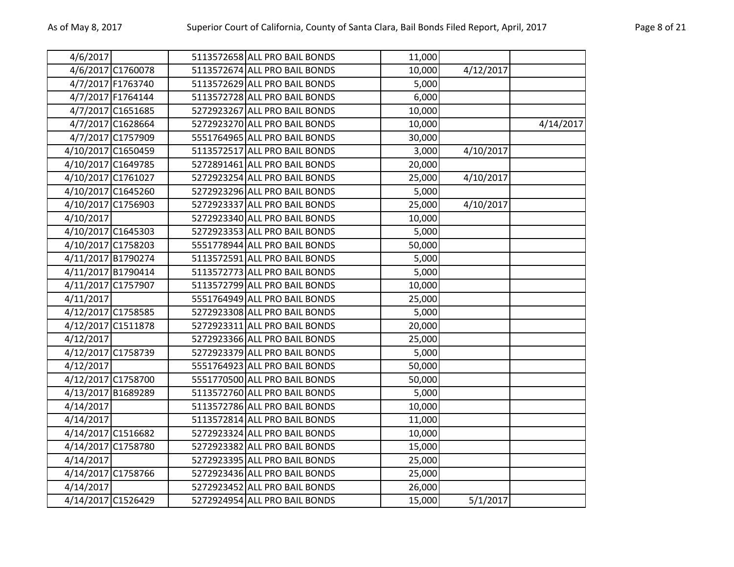| 4/6/2017           |                    | 5113572658 ALL PRO BAIL BONDS | 11,000 |           |           |
|--------------------|--------------------|-------------------------------|--------|-----------|-----------|
|                    | 4/6/2017 C1760078  | 5113572674 ALL PRO BAIL BONDS | 10,000 | 4/12/2017 |           |
|                    | 4/7/2017 F1763740  | 5113572629 ALL PRO BAIL BONDS | 5,000  |           |           |
|                    | 4/7/2017 F1764144  | 5113572728 ALL PRO BAIL BONDS | 6,000  |           |           |
|                    | 4/7/2017 C1651685  | 5272923267 ALL PRO BAIL BONDS | 10,000 |           |           |
|                    | 4/7/2017 C1628664  | 5272923270 ALL PRO BAIL BONDS | 10,000 |           | 4/14/2017 |
|                    | 4/7/2017 C1757909  | 5551764965 ALL PRO BAIL BONDS | 30,000 |           |           |
| 4/10/2017 C1650459 |                    | 5113572517 ALL PRO BAIL BONDS | 3,000  | 4/10/2017 |           |
|                    | 4/10/2017 C1649785 | 5272891461 ALL PRO BAIL BONDS | 20,000 |           |           |
| 4/10/2017 C1761027 |                    | 5272923254 ALL PRO BAIL BONDS | 25,000 | 4/10/2017 |           |
| 4/10/2017 C1645260 |                    | 5272923296 ALL PRO BAIL BONDS | 5,000  |           |           |
| 4/10/2017 C1756903 |                    | 5272923337 ALL PRO BAIL BONDS | 25,000 | 4/10/2017 |           |
| 4/10/2017          |                    | 5272923340 ALL PRO BAIL BONDS | 10,000 |           |           |
| 4/10/2017 C1645303 |                    | 5272923353 ALL PRO BAIL BONDS | 5,000  |           |           |
| 4/10/2017 C1758203 |                    | 5551778944 ALL PRO BAIL BONDS | 50,000 |           |           |
|                    | 4/11/2017 B1790274 | 5113572591 ALL PRO BAIL BONDS | 5,000  |           |           |
| 4/11/2017 B1790414 |                    | 5113572773 ALL PRO BAIL BONDS | 5,000  |           |           |
|                    | 4/11/2017 C1757907 | 5113572799 ALL PRO BAIL BONDS | 10,000 |           |           |
| 4/11/2017          |                    | 5551764949 ALL PRO BAIL BONDS | 25,000 |           |           |
| 4/12/2017 C1758585 |                    | 5272923308 ALL PRO BAIL BONDS | 5,000  |           |           |
| 4/12/2017 C1511878 |                    | 5272923311 ALL PRO BAIL BONDS | 20,000 |           |           |
| 4/12/2017          |                    | 5272923366 ALL PRO BAIL BONDS | 25,000 |           |           |
| 4/12/2017 C1758739 |                    | 5272923379 ALL PRO BAIL BONDS | 5,000  |           |           |
| 4/12/2017          |                    | 5551764923 ALL PRO BAIL BONDS | 50,000 |           |           |
| 4/12/2017 C1758700 |                    | 5551770500 ALL PRO BAIL BONDS | 50,000 |           |           |
| 4/13/2017 B1689289 |                    | 5113572760 ALL PRO BAIL BONDS | 5,000  |           |           |
| 4/14/2017          |                    | 5113572786 ALL PRO BAIL BONDS | 10,000 |           |           |
| 4/14/2017          |                    | 5113572814 ALL PRO BAIL BONDS | 11,000 |           |           |
| 4/14/2017 C1516682 |                    | 5272923324 ALL PRO BAIL BONDS | 10,000 |           |           |
|                    | 4/14/2017 C1758780 | 5272923382 ALL PRO BAIL BONDS | 15,000 |           |           |
| 4/14/2017          |                    | 5272923395 ALL PRO BAIL BONDS | 25,000 |           |           |
| 4/14/2017 C1758766 |                    | 5272923436 ALL PRO BAIL BONDS | 25,000 |           |           |
| 4/14/2017          |                    | 5272923452 ALL PRO BAIL BONDS | 26,000 |           |           |
| 4/14/2017 C1526429 |                    | 5272924954 ALL PRO BAIL BONDS | 15,000 | 5/1/2017  |           |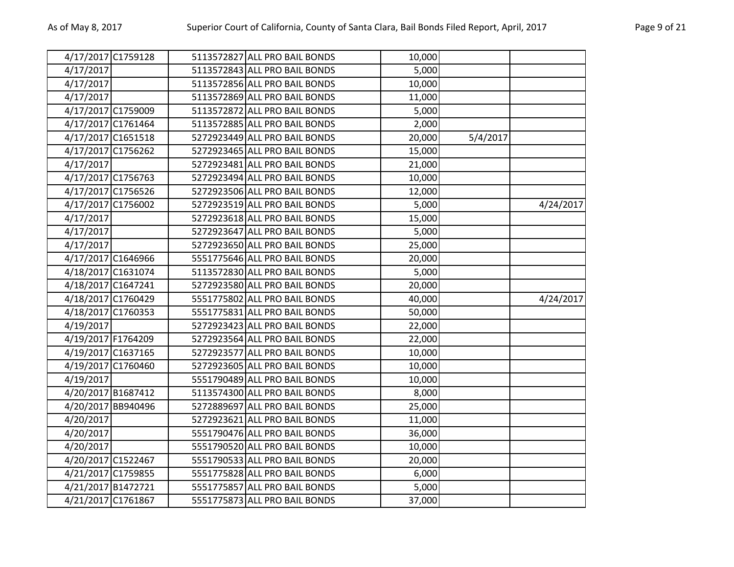| 4/17/2017 C1759128 |  | 5113572827 ALL PRO BAIL BONDS | 10,000 |          |           |
|--------------------|--|-------------------------------|--------|----------|-----------|
| 4/17/2017          |  | 5113572843 ALL PRO BAIL BONDS | 5,000  |          |           |
| 4/17/2017          |  | 5113572856 ALL PRO BAIL BONDS | 10,000 |          |           |
| 4/17/2017          |  | 5113572869 ALL PRO BAIL BONDS | 11,000 |          |           |
| 4/17/2017 C1759009 |  | 5113572872 ALL PRO BAIL BONDS | 5,000  |          |           |
| 4/17/2017 C1761464 |  | 5113572885 ALL PRO BAIL BONDS | 2,000  |          |           |
| 4/17/2017 C1651518 |  | 5272923449 ALL PRO BAIL BONDS | 20,000 | 5/4/2017 |           |
| 4/17/2017 C1756262 |  | 5272923465 ALL PRO BAIL BONDS | 15,000 |          |           |
| 4/17/2017          |  | 5272923481 ALL PRO BAIL BONDS | 21,000 |          |           |
| 4/17/2017 C1756763 |  | 5272923494 ALL PRO BAIL BONDS | 10,000 |          |           |
| 4/17/2017 C1756526 |  | 5272923506 ALL PRO BAIL BONDS | 12,000 |          |           |
| 4/17/2017 C1756002 |  | 5272923519 ALL PRO BAIL BONDS | 5,000  |          | 4/24/2017 |
| 4/17/2017          |  | 5272923618 ALL PRO BAIL BONDS | 15,000 |          |           |
| 4/17/2017          |  | 5272923647 ALL PRO BAIL BONDS | 5,000  |          |           |
| 4/17/2017          |  | 5272923650 ALL PRO BAIL BONDS | 25,000 |          |           |
| 4/17/2017 C1646966 |  | 5551775646 ALL PRO BAIL BONDS | 20,000 |          |           |
| 4/18/2017 C1631074 |  | 5113572830 ALL PRO BAIL BONDS | 5,000  |          |           |
| 4/18/2017 C1647241 |  | 5272923580 ALL PRO BAIL BONDS | 20,000 |          |           |
| 4/18/2017 C1760429 |  | 5551775802 ALL PRO BAIL BONDS | 40,000 |          | 4/24/2017 |
| 4/18/2017 C1760353 |  | 5551775831 ALL PRO BAIL BONDS | 50,000 |          |           |
| 4/19/2017          |  | 5272923423 ALL PRO BAIL BONDS | 22,000 |          |           |
| 4/19/2017 F1764209 |  | 5272923564 ALL PRO BAIL BONDS | 22,000 |          |           |
| 4/19/2017 C1637165 |  | 5272923577 ALL PRO BAIL BONDS | 10,000 |          |           |
| 4/19/2017 C1760460 |  | 5272923605 ALL PRO BAIL BONDS | 10,000 |          |           |
| 4/19/2017          |  | 5551790489 ALL PRO BAIL BONDS | 10,000 |          |           |
| 4/20/2017 B1687412 |  | 5113574300 ALL PRO BAIL BONDS | 8,000  |          |           |
| 4/20/2017 BB940496 |  | 5272889697 ALL PRO BAIL BONDS | 25,000 |          |           |
| 4/20/2017          |  | 5272923621 ALL PRO BAIL BONDS | 11,000 |          |           |
| 4/20/2017          |  | 5551790476 ALL PRO BAIL BONDS | 36,000 |          |           |
| 4/20/2017          |  | 5551790520 ALL PRO BAIL BONDS | 10,000 |          |           |
| 4/20/2017 C1522467 |  | 5551790533 ALL PRO BAIL BONDS | 20,000 |          |           |
| 4/21/2017 C1759855 |  | 5551775828 ALL PRO BAIL BONDS | 6,000  |          |           |
| 4/21/2017 B1472721 |  | 5551775857 ALL PRO BAIL BONDS | 5,000  |          |           |
| 4/21/2017 C1761867 |  | 5551775873 ALL PRO BAIL BONDS | 37,000 |          |           |
|                    |  |                               |        |          |           |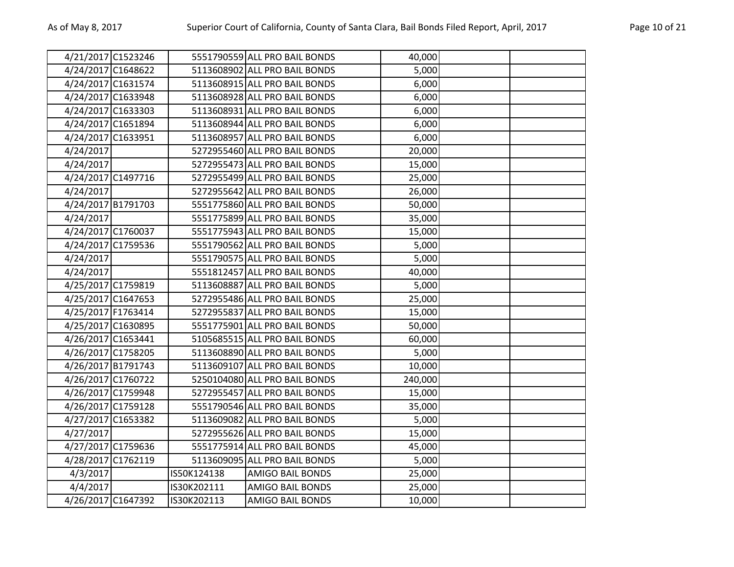| 4/21/2017 C1523246 |             | 5551790559 ALL PRO BAIL BONDS | 40,000  |  |
|--------------------|-------------|-------------------------------|---------|--|
| 4/24/2017 C1648622 |             | 5113608902 ALL PRO BAIL BONDS | 5,000   |  |
| 4/24/2017 C1631574 |             | 5113608915 ALL PRO BAIL BONDS | 6,000   |  |
| 4/24/2017 C1633948 |             | 5113608928 ALL PRO BAIL BONDS | 6,000   |  |
| 4/24/2017 C1633303 |             | 5113608931 ALL PRO BAIL BONDS | 6,000   |  |
| 4/24/2017 C1651894 |             | 5113608944 ALL PRO BAIL BONDS | 6,000   |  |
| 4/24/2017 C1633951 |             | 5113608957 ALL PRO BAIL BONDS | 6,000   |  |
| 4/24/2017          |             | 5272955460 ALL PRO BAIL BONDS | 20,000  |  |
| 4/24/2017          |             | 5272955473 ALL PRO BAIL BONDS | 15,000  |  |
| 4/24/2017 C1497716 |             | 5272955499 ALL PRO BAIL BONDS | 25,000  |  |
| 4/24/2017          |             | 5272955642 ALL PRO BAIL BONDS | 26,000  |  |
| 4/24/2017 B1791703 |             | 5551775860 ALL PRO BAIL BONDS | 50,000  |  |
| 4/24/2017          |             | 5551775899 ALL PRO BAIL BONDS | 35,000  |  |
| 4/24/2017 C1760037 |             | 5551775943 ALL PRO BAIL BONDS | 15,000  |  |
| 4/24/2017 C1759536 |             | 5551790562 ALL PRO BAIL BONDS | 5,000   |  |
| 4/24/2017          |             | 5551790575 ALL PRO BAIL BONDS | 5,000   |  |
| 4/24/2017          |             | 5551812457 ALL PRO BAIL BONDS | 40,000  |  |
| 4/25/2017 C1759819 |             | 5113608887 ALL PRO BAIL BONDS | 5,000   |  |
| 4/25/2017 C1647653 |             | 5272955486 ALL PRO BAIL BONDS | 25,000  |  |
| 4/25/2017 F1763414 |             | 5272955837 ALL PRO BAIL BONDS | 15,000  |  |
| 4/25/2017 C1630895 |             | 5551775901 ALL PRO BAIL BONDS | 50,000  |  |
| 4/26/2017 C1653441 |             | 5105685515 ALL PRO BAIL BONDS | 60,000  |  |
| 4/26/2017 C1758205 |             | 5113608890 ALL PRO BAIL BONDS | 5,000   |  |
| 4/26/2017 B1791743 |             | 5113609107 ALL PRO BAIL BONDS | 10,000  |  |
| 4/26/2017 C1760722 |             | 5250104080 ALL PRO BAIL BONDS | 240,000 |  |
| 4/26/2017 C1759948 |             | 5272955457 ALL PRO BAIL BONDS | 15,000  |  |
| 4/26/2017 C1759128 |             | 5551790546 ALL PRO BAIL BONDS | 35,000  |  |
| 4/27/2017 C1653382 |             | 5113609082 ALL PRO BAIL BONDS | 5,000   |  |
| 4/27/2017          |             | 5272955626 ALL PRO BAIL BONDS | 15,000  |  |
| 4/27/2017 C1759636 |             | 5551775914 ALL PRO BAIL BONDS | 45,000  |  |
| 4/28/2017 C1762119 |             | 5113609095 ALL PRO BAIL BONDS | 5,000   |  |
| 4/3/2017           | IS50K124138 | <b>AMIGO BAIL BONDS</b>       | 25,000  |  |
| 4/4/2017           | IS30K202111 | <b>AMIGO BAIL BONDS</b>       | 25,000  |  |
| 4/26/2017 C1647392 | IS30K202113 | <b>AMIGO BAIL BONDS</b>       | 10,000  |  |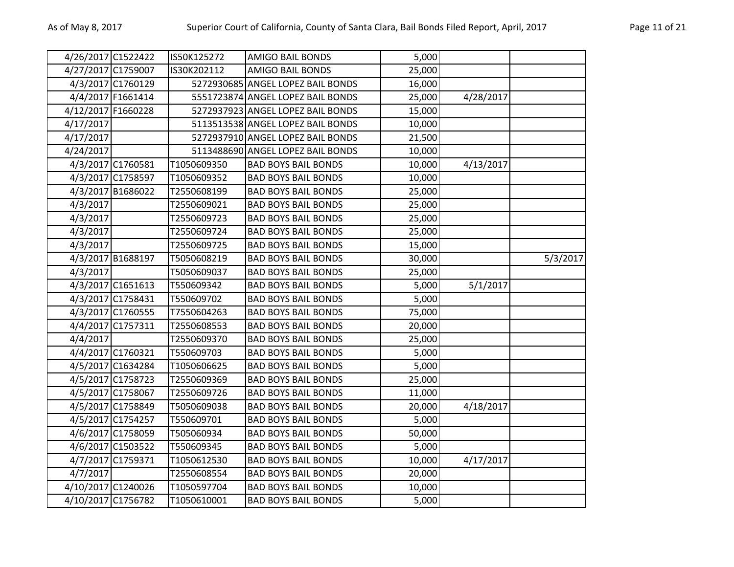| 4/26/2017 C1522422 |                   | IS50K125272 | AMIGO BAIL BONDS                  | 5,000  |           |          |
|--------------------|-------------------|-------------|-----------------------------------|--------|-----------|----------|
| 4/27/2017 C1759007 |                   | IS30K202112 | <b>AMIGO BAIL BONDS</b>           | 25,000 |           |          |
|                    | 4/3/2017 C1760129 |             | 5272930685 ANGEL LOPEZ BAIL BONDS | 16,000 |           |          |
|                    | 4/4/2017 F1661414 |             | 5551723874 ANGEL LOPEZ BAIL BONDS | 25,000 | 4/28/2017 |          |
| 4/12/2017 F1660228 |                   |             | 5272937923 ANGEL LOPEZ BAIL BONDS | 15,000 |           |          |
| 4/17/2017          |                   |             | 5113513538 ANGEL LOPEZ BAIL BONDS | 10,000 |           |          |
| 4/17/2017          |                   |             | 5272937910 ANGEL LOPEZ BAIL BONDS | 21,500 |           |          |
| 4/24/2017          |                   |             | 5113488690 ANGEL LOPEZ BAIL BONDS | 10,000 |           |          |
|                    | 4/3/2017 C1760581 | T1050609350 | <b>BAD BOYS BAIL BONDS</b>        | 10,000 | 4/13/2017 |          |
|                    | 4/3/2017 C1758597 | T1050609352 | <b>BAD BOYS BAIL BONDS</b>        | 10,000 |           |          |
|                    | 4/3/2017 B1686022 | T2550608199 | <b>BAD BOYS BAIL BONDS</b>        | 25,000 |           |          |
| 4/3/2017           |                   | T2550609021 | <b>BAD BOYS BAIL BONDS</b>        | 25,000 |           |          |
| 4/3/2017           |                   | T2550609723 | <b>BAD BOYS BAIL BONDS</b>        | 25,000 |           |          |
| 4/3/2017           |                   | T2550609724 | <b>BAD BOYS BAIL BONDS</b>        | 25,000 |           |          |
| 4/3/2017           |                   | T2550609725 | <b>BAD BOYS BAIL BONDS</b>        | 15,000 |           |          |
|                    | 4/3/2017 B1688197 | T5050608219 | <b>BAD BOYS BAIL BONDS</b>        | 30,000 |           | 5/3/2017 |
| 4/3/2017           |                   | T5050609037 | <b>BAD BOYS BAIL BONDS</b>        | 25,000 |           |          |
|                    | 4/3/2017 C1651613 | T550609342  | <b>BAD BOYS BAIL BONDS</b>        | 5,000  | 5/1/2017  |          |
|                    | 4/3/2017 C1758431 | T550609702  | <b>BAD BOYS BAIL BONDS</b>        | 5,000  |           |          |
|                    | 4/3/2017 C1760555 | T7550604263 | <b>BAD BOYS BAIL BONDS</b>        | 75,000 |           |          |
|                    | 4/4/2017 C1757311 | T2550608553 | <b>BAD BOYS BAIL BONDS</b>        | 20,000 |           |          |
| 4/4/2017           |                   | T2550609370 | <b>BAD BOYS BAIL BONDS</b>        | 25,000 |           |          |
|                    | 4/4/2017 C1760321 | T550609703  | <b>BAD BOYS BAIL BONDS</b>        | 5,000  |           |          |
|                    | 4/5/2017 C1634284 | T1050606625 | <b>BAD BOYS BAIL BONDS</b>        | 5,000  |           |          |
|                    | 4/5/2017 C1758723 | T2550609369 | <b>BAD BOYS BAIL BONDS</b>        | 25,000 |           |          |
|                    | 4/5/2017 C1758067 | T2550609726 | <b>BAD BOYS BAIL BONDS</b>        | 11,000 |           |          |
|                    | 4/5/2017 C1758849 | T5050609038 | <b>BAD BOYS BAIL BONDS</b>        | 20,000 | 4/18/2017 |          |
|                    | 4/5/2017 C1754257 | T550609701  | <b>BAD BOYS BAIL BONDS</b>        | 5,000  |           |          |
|                    | 4/6/2017 C1758059 | T505060934  | <b>BAD BOYS BAIL BONDS</b>        | 50,000 |           |          |
|                    | 4/6/2017 C1503522 | T550609345  | <b>BAD BOYS BAIL BONDS</b>        | 5,000  |           |          |
|                    | 4/7/2017 C1759371 | T1050612530 | <b>BAD BOYS BAIL BONDS</b>        | 10,000 | 4/17/2017 |          |
| 4/7/2017           |                   | T2550608554 | <b>BAD BOYS BAIL BONDS</b>        | 20,000 |           |          |
| 4/10/2017 C1240026 |                   | T1050597704 | <b>BAD BOYS BAIL BONDS</b>        | 10,000 |           |          |
| 4/10/2017 C1756782 |                   | T1050610001 | <b>BAD BOYS BAIL BONDS</b>        | 5,000  |           |          |
|                    |                   |             |                                   |        |           |          |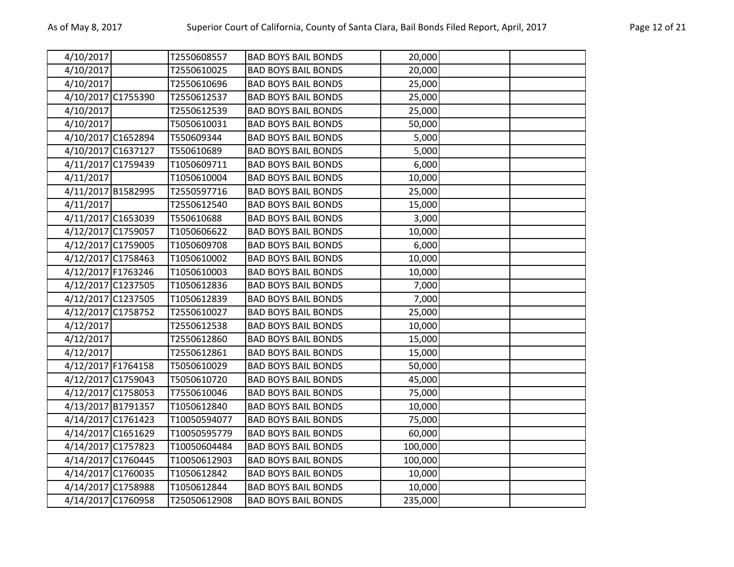| 4/10/2017          | T2550608557  | <b>BAD BOYS BAIL BONDS</b> | 20,000  |  |
|--------------------|--------------|----------------------------|---------|--|
| 4/10/2017          | T2550610025  | <b>BAD BOYS BAIL BONDS</b> | 20,000  |  |
| 4/10/2017          | T2550610696  | <b>BAD BOYS BAIL BONDS</b> | 25,000  |  |
| 4/10/2017 C1755390 | T2550612537  | <b>BAD BOYS BAIL BONDS</b> | 25,000  |  |
| 4/10/2017          | T2550612539  | <b>BAD BOYS BAIL BONDS</b> | 25,000  |  |
| 4/10/2017          | T5050610031  | <b>BAD BOYS BAIL BONDS</b> | 50,000  |  |
| 4/10/2017 C1652894 | T550609344   | <b>BAD BOYS BAIL BONDS</b> | 5,000   |  |
| 4/10/2017 C1637127 | T550610689   | <b>BAD BOYS BAIL BONDS</b> | 5,000   |  |
| 4/11/2017 C1759439 | T1050609711  | <b>BAD BOYS BAIL BONDS</b> | 6,000   |  |
| 4/11/2017          | T1050610004  | <b>BAD BOYS BAIL BONDS</b> | 10,000  |  |
| 4/11/2017 B1582995 | T2550597716  | <b>BAD BOYS BAIL BONDS</b> | 25,000  |  |
| 4/11/2017          | T2550612540  | <b>BAD BOYS BAIL BONDS</b> | 15,000  |  |
| 4/11/2017 C1653039 | T550610688   | <b>BAD BOYS BAIL BONDS</b> | 3,000   |  |
| 4/12/2017 C1759057 | T1050606622  | <b>BAD BOYS BAIL BONDS</b> | 10,000  |  |
| 4/12/2017 C1759005 | T1050609708  | <b>BAD BOYS BAIL BONDS</b> | 6,000   |  |
| 4/12/2017 C1758463 | T1050610002  | <b>BAD BOYS BAIL BONDS</b> | 10,000  |  |
| 4/12/2017 F1763246 | T1050610003  | <b>BAD BOYS BAIL BONDS</b> | 10,000  |  |
| 4/12/2017 C1237505 | T1050612836  | <b>BAD BOYS BAIL BONDS</b> | 7,000   |  |
| 4/12/2017 C1237505 | T1050612839  | <b>BAD BOYS BAIL BONDS</b> | 7,000   |  |
| 4/12/2017 C1758752 | T2550610027  | <b>BAD BOYS BAIL BONDS</b> | 25,000  |  |
| 4/12/2017          | T2550612538  | <b>BAD BOYS BAIL BONDS</b> | 10,000  |  |
| 4/12/2017          | T2550612860  | <b>BAD BOYS BAIL BONDS</b> | 15,000  |  |
| 4/12/2017          | T2550612861  | <b>BAD BOYS BAIL BONDS</b> | 15,000  |  |
| 4/12/2017 F1764158 | T5050610029  | <b>BAD BOYS BAIL BONDS</b> | 50,000  |  |
| 4/12/2017 C1759043 | T5050610720  | <b>BAD BOYS BAIL BONDS</b> | 45,000  |  |
| 4/12/2017 C1758053 | T7550610046  | <b>BAD BOYS BAIL BONDS</b> | 75,000  |  |
| 4/13/2017 B1791357 | T1050612840  | <b>BAD BOYS BAIL BONDS</b> | 10,000  |  |
| 4/14/2017 C1761423 | T10050594077 | <b>BAD BOYS BAIL BONDS</b> | 75,000  |  |
| 4/14/2017 C1651629 | T10050595779 | <b>BAD BOYS BAIL BONDS</b> | 60,000  |  |
| 4/14/2017 C1757823 | T10050604484 | <b>BAD BOYS BAIL BONDS</b> | 100,000 |  |
| 4/14/2017 C1760445 | T10050612903 | <b>BAD BOYS BAIL BONDS</b> | 100,000 |  |
| 4/14/2017 C1760035 | T1050612842  | <b>BAD BOYS BAIL BONDS</b> | 10,000  |  |
| 4/14/2017 C1758988 | T1050612844  | <b>BAD BOYS BAIL BONDS</b> | 10,000  |  |
| 4/14/2017 C1760958 | T25050612908 | <b>BAD BOYS BAIL BONDS</b> | 235,000 |  |
|                    |              |                            |         |  |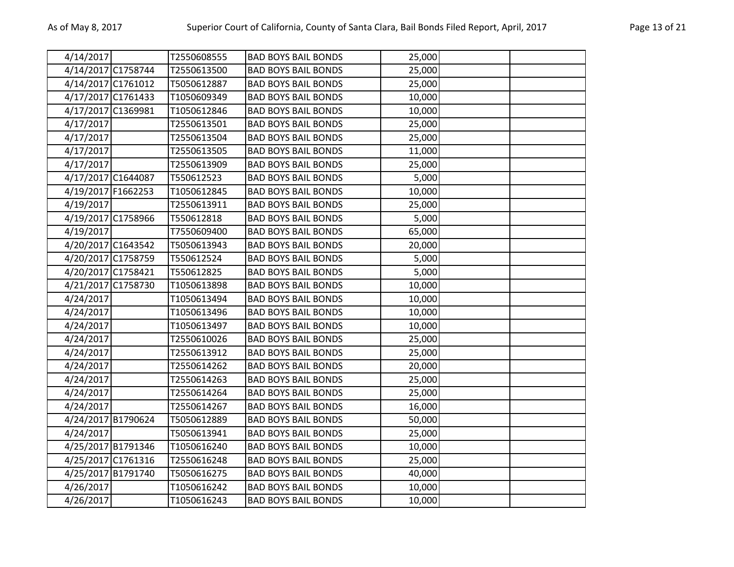| 4/14/2017 |                    | T2550608555 | <b>BAD BOYS BAIL BONDS</b> | 25,000 |  |
|-----------|--------------------|-------------|----------------------------|--------|--|
|           | 4/14/2017 C1758744 | T2550613500 | <b>BAD BOYS BAIL BONDS</b> | 25,000 |  |
|           | 4/14/2017 C1761012 | T5050612887 | <b>BAD BOYS BAIL BONDS</b> | 25,000 |  |
|           | 4/17/2017 C1761433 | T1050609349 | <b>BAD BOYS BAIL BONDS</b> | 10,000 |  |
|           | 4/17/2017 C1369981 | T1050612846 | <b>BAD BOYS BAIL BONDS</b> | 10,000 |  |
| 4/17/2017 |                    | T2550613501 | <b>BAD BOYS BAIL BONDS</b> | 25,000 |  |
| 4/17/2017 |                    | T2550613504 | <b>BAD BOYS BAIL BONDS</b> | 25,000 |  |
| 4/17/2017 |                    | T2550613505 | <b>BAD BOYS BAIL BONDS</b> | 11,000 |  |
| 4/17/2017 |                    | T2550613909 | <b>BAD BOYS BAIL BONDS</b> | 25,000 |  |
|           | 4/17/2017 C1644087 | T550612523  | <b>BAD BOYS BAIL BONDS</b> | 5,000  |  |
|           | 4/19/2017 F1662253 | T1050612845 | <b>BAD BOYS BAIL BONDS</b> | 10,000 |  |
| 4/19/2017 |                    | T2550613911 | <b>BAD BOYS BAIL BONDS</b> | 25,000 |  |
|           | 4/19/2017 C1758966 | T550612818  | <b>BAD BOYS BAIL BONDS</b> | 5,000  |  |
| 4/19/2017 |                    | T7550609400 | <b>BAD BOYS BAIL BONDS</b> | 65,000 |  |
|           | 4/20/2017 C1643542 | T5050613943 | <b>BAD BOYS BAIL BONDS</b> | 20,000 |  |
|           | 4/20/2017 C1758759 | T550612524  | <b>BAD BOYS BAIL BONDS</b> | 5,000  |  |
|           | 4/20/2017 C1758421 | T550612825  | <b>BAD BOYS BAIL BONDS</b> | 5,000  |  |
|           | 4/21/2017 C1758730 | T1050613898 | <b>BAD BOYS BAIL BONDS</b> | 10,000 |  |
| 4/24/2017 |                    | T1050613494 | <b>BAD BOYS BAIL BONDS</b> | 10,000 |  |
| 4/24/2017 |                    | T1050613496 | <b>BAD BOYS BAIL BONDS</b> | 10,000 |  |
| 4/24/2017 |                    | T1050613497 | <b>BAD BOYS BAIL BONDS</b> | 10,000 |  |
| 4/24/2017 |                    | T2550610026 | <b>BAD BOYS BAIL BONDS</b> | 25,000 |  |
| 4/24/2017 |                    | T2550613912 | <b>BAD BOYS BAIL BONDS</b> | 25,000 |  |
| 4/24/2017 |                    | T2550614262 | <b>BAD BOYS BAIL BONDS</b> | 20,000 |  |
| 4/24/2017 |                    | T2550614263 | <b>BAD BOYS BAIL BONDS</b> | 25,000 |  |
| 4/24/2017 |                    | T2550614264 | <b>BAD BOYS BAIL BONDS</b> | 25,000 |  |
| 4/24/2017 |                    | T2550614267 | <b>BAD BOYS BAIL BONDS</b> | 16,000 |  |
|           | 4/24/2017 B1790624 | T5050612889 | <b>BAD BOYS BAIL BONDS</b> | 50,000 |  |
| 4/24/2017 |                    | T5050613941 | <b>BAD BOYS BAIL BONDS</b> | 25,000 |  |
|           | 4/25/2017 B1791346 | T1050616240 | <b>BAD BOYS BAIL BONDS</b> | 10,000 |  |
|           | 4/25/2017 C1761316 | T2550616248 | <b>BAD BOYS BAIL BONDS</b> | 25,000 |  |
|           | 4/25/2017 B1791740 | T5050616275 | <b>BAD BOYS BAIL BONDS</b> | 40,000 |  |
| 4/26/2017 |                    | T1050616242 | <b>BAD BOYS BAIL BONDS</b> | 10,000 |  |
| 4/26/2017 |                    | T1050616243 | <b>BAD BOYS BAIL BONDS</b> | 10,000 |  |
|           |                    |             |                            |        |  |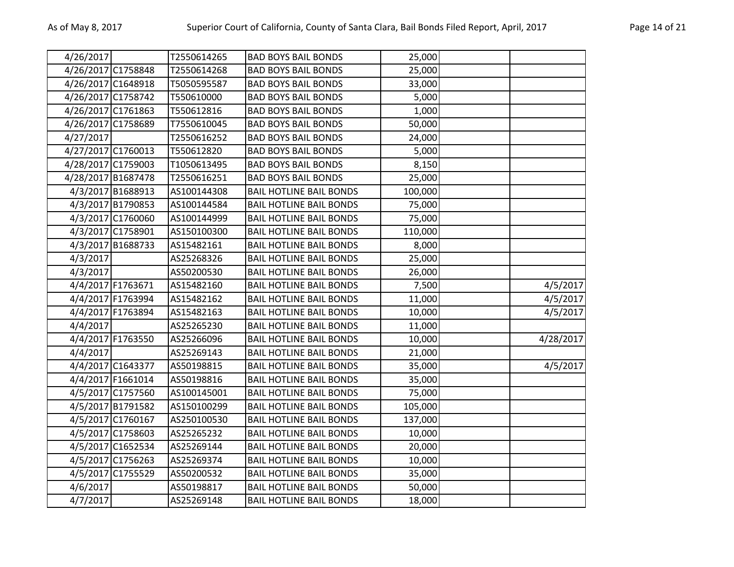| 4/26/2017          |                   | T2550614265 | <b>BAD BOYS BAIL BONDS</b>     | 25,000  |           |
|--------------------|-------------------|-------------|--------------------------------|---------|-----------|
| 4/26/2017 C1758848 |                   | T2550614268 | <b>BAD BOYS BAIL BONDS</b>     | 25,000  |           |
| 4/26/2017 C1648918 |                   | T5050595587 | <b>BAD BOYS BAIL BONDS</b>     | 33,000  |           |
| 4/26/2017 C1758742 |                   | T550610000  | <b>BAD BOYS BAIL BONDS</b>     | 5,000   |           |
| 4/26/2017 C1761863 |                   | T550612816  | <b>BAD BOYS BAIL BONDS</b>     | 1,000   |           |
| 4/26/2017 C1758689 |                   | T7550610045 | <b>BAD BOYS BAIL BONDS</b>     | 50,000  |           |
| 4/27/2017          |                   | T2550616252 | <b>BAD BOYS BAIL BONDS</b>     | 24,000  |           |
| 4/27/2017 C1760013 |                   | T550612820  | <b>BAD BOYS BAIL BONDS</b>     | 5,000   |           |
| 4/28/2017 C1759003 |                   | T1050613495 | <b>BAD BOYS BAIL BONDS</b>     | 8,150   |           |
| 4/28/2017 B1687478 |                   | T2550616251 | <b>BAD BOYS BAIL BONDS</b>     | 25,000  |           |
|                    | 4/3/2017 B1688913 | AS100144308 | <b>BAIL HOTLINE BAIL BONDS</b> | 100,000 |           |
|                    | 4/3/2017 B1790853 | AS100144584 | <b>BAIL HOTLINE BAIL BONDS</b> | 75,000  |           |
|                    | 4/3/2017 C1760060 | AS100144999 | <b>BAIL HOTLINE BAIL BONDS</b> | 75,000  |           |
|                    | 4/3/2017 C1758901 | AS150100300 | <b>BAIL HOTLINE BAIL BONDS</b> | 110,000 |           |
|                    | 4/3/2017 B1688733 | AS15482161  | <b>BAIL HOTLINE BAIL BONDS</b> | 8,000   |           |
| 4/3/2017           |                   | AS25268326  | <b>BAIL HOTLINE BAIL BONDS</b> | 25,000  |           |
| 4/3/2017           |                   | AS50200530  | <b>BAIL HOTLINE BAIL BONDS</b> | 26,000  |           |
|                    | 4/4/2017 F1763671 | AS15482160  | <b>BAIL HOTLINE BAIL BONDS</b> | 7,500   | 4/5/2017  |
|                    | 4/4/2017 F1763994 | AS15482162  | <b>BAIL HOTLINE BAIL BONDS</b> | 11,000  | 4/5/2017  |
|                    | 4/4/2017 F1763894 | AS15482163  | <b>BAIL HOTLINE BAIL BONDS</b> | 10,000  | 4/5/2017  |
| 4/4/2017           |                   | AS25265230  | <b>BAIL HOTLINE BAIL BONDS</b> | 11,000  |           |
|                    | 4/4/2017 F1763550 | AS25266096  | <b>BAIL HOTLINE BAIL BONDS</b> | 10,000  | 4/28/2017 |
| 4/4/2017           |                   | AS25269143  | <b>BAIL HOTLINE BAIL BONDS</b> | 21,000  |           |
|                    | 4/4/2017 C1643377 | AS50198815  | <b>BAIL HOTLINE BAIL BONDS</b> | 35,000  | 4/5/2017  |
|                    | 4/4/2017 F1661014 | AS50198816  | <b>BAIL HOTLINE BAIL BONDS</b> | 35,000  |           |
|                    | 4/5/2017 C1757560 | AS100145001 | <b>BAIL HOTLINE BAIL BONDS</b> | 75,000  |           |
|                    | 4/5/2017 B1791582 | AS150100299 | <b>BAIL HOTLINE BAIL BONDS</b> | 105,000 |           |
|                    | 4/5/2017 C1760167 | AS250100530 | <b>BAIL HOTLINE BAIL BONDS</b> | 137,000 |           |
|                    | 4/5/2017 C1758603 | AS25265232  | <b>BAIL HOTLINE BAIL BONDS</b> | 10,000  |           |
|                    | 4/5/2017 C1652534 | AS25269144  | <b>BAIL HOTLINE BAIL BONDS</b> | 20,000  |           |
|                    | 4/5/2017 C1756263 | AS25269374  | <b>BAIL HOTLINE BAIL BONDS</b> | 10,000  |           |
|                    | 4/5/2017 C1755529 | AS50200532  | <b>BAIL HOTLINE BAIL BONDS</b> | 35,000  |           |
| 4/6/2017           |                   | AS50198817  | <b>BAIL HOTLINE BAIL BONDS</b> | 50,000  |           |
| 4/7/2017           |                   | AS25269148  | <b>BAIL HOTLINE BAIL BONDS</b> | 18,000  |           |
|                    |                   |             |                                |         |           |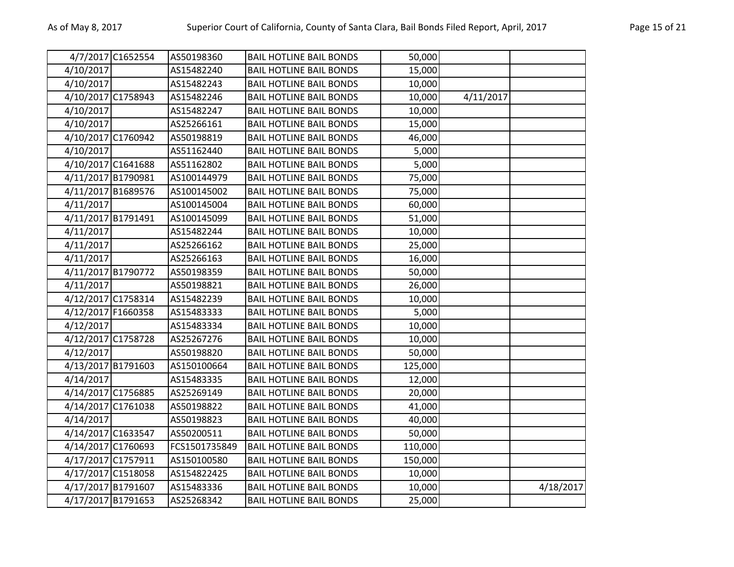|                    | 4/7/2017 C1652554 | AS50198360    | <b>BAIL HOTLINE BAIL BONDS</b> | 50,000  |           |           |
|--------------------|-------------------|---------------|--------------------------------|---------|-----------|-----------|
| 4/10/2017          |                   | AS15482240    | <b>BAIL HOTLINE BAIL BONDS</b> | 15,000  |           |           |
| 4/10/2017          |                   | AS15482243    | <b>BAIL HOTLINE BAIL BONDS</b> | 10,000  |           |           |
| 4/10/2017 C1758943 |                   | AS15482246    | <b>BAIL HOTLINE BAIL BONDS</b> | 10,000  | 4/11/2017 |           |
| 4/10/2017          |                   | AS15482247    | <b>BAIL HOTLINE BAIL BONDS</b> | 10,000  |           |           |
| 4/10/2017          |                   | AS25266161    | <b>BAIL HOTLINE BAIL BONDS</b> | 15,000  |           |           |
| 4/10/2017 C1760942 |                   | AS50198819    | <b>BAIL HOTLINE BAIL BONDS</b> | 46,000  |           |           |
| 4/10/2017          |                   | AS51162440    | <b>BAIL HOTLINE BAIL BONDS</b> | 5,000   |           |           |
| 4/10/2017 C1641688 |                   | AS51162802    | <b>BAIL HOTLINE BAIL BONDS</b> | 5,000   |           |           |
| 4/11/2017 B1790981 |                   | AS100144979   | <b>BAIL HOTLINE BAIL BONDS</b> | 75,000  |           |           |
| 4/11/2017 B1689576 |                   | AS100145002   | <b>BAIL HOTLINE BAIL BONDS</b> | 75,000  |           |           |
| 4/11/2017          |                   | AS100145004   | <b>BAIL HOTLINE BAIL BONDS</b> | 60,000  |           |           |
| 4/11/2017 B1791491 |                   | AS100145099   | <b>BAIL HOTLINE BAIL BONDS</b> | 51,000  |           |           |
| 4/11/2017          |                   | AS15482244    | <b>BAIL HOTLINE BAIL BONDS</b> | 10,000  |           |           |
| 4/11/2017          |                   | AS25266162    | <b>BAIL HOTLINE BAIL BONDS</b> | 25,000  |           |           |
| 4/11/2017          |                   | AS25266163    | <b>BAIL HOTLINE BAIL BONDS</b> | 16,000  |           |           |
| 4/11/2017 B1790772 |                   | AS50198359    | <b>BAIL HOTLINE BAIL BONDS</b> | 50,000  |           |           |
| 4/11/2017          |                   | AS50198821    | <b>BAIL HOTLINE BAIL BONDS</b> | 26,000  |           |           |
| 4/12/2017 C1758314 |                   | AS15482239    | <b>BAIL HOTLINE BAIL BONDS</b> | 10,000  |           |           |
| 4/12/2017 F1660358 |                   | AS15483333    | <b>BAIL HOTLINE BAIL BONDS</b> | 5,000   |           |           |
| 4/12/2017          |                   | AS15483334    | <b>BAIL HOTLINE BAIL BONDS</b> | 10,000  |           |           |
| 4/12/2017 C1758728 |                   | AS25267276    | <b>BAIL HOTLINE BAIL BONDS</b> | 10,000  |           |           |
| 4/12/2017          |                   | AS50198820    | <b>BAIL HOTLINE BAIL BONDS</b> | 50,000  |           |           |
| 4/13/2017 B1791603 |                   | AS150100664   | <b>BAIL HOTLINE BAIL BONDS</b> | 125,000 |           |           |
| 4/14/2017          |                   | AS15483335    | <b>BAIL HOTLINE BAIL BONDS</b> | 12,000  |           |           |
| 4/14/2017 C1756885 |                   | AS25269149    | <b>BAIL HOTLINE BAIL BONDS</b> | 20,000  |           |           |
| 4/14/2017 C1761038 |                   | AS50198822    | <b>BAIL HOTLINE BAIL BONDS</b> | 41,000  |           |           |
| 4/14/2017          |                   | AS50198823    | <b>BAIL HOTLINE BAIL BONDS</b> | 40,000  |           |           |
| 4/14/2017 C1633547 |                   | AS50200511    | <b>BAIL HOTLINE BAIL BONDS</b> | 50,000  |           |           |
| 4/14/2017 C1760693 |                   | FCS1501735849 | <b>BAIL HOTLINE BAIL BONDS</b> | 110,000 |           |           |
| 4/17/2017 C1757911 |                   | AS150100580   | <b>BAIL HOTLINE BAIL BONDS</b> | 150,000 |           |           |
| 4/17/2017 C1518058 |                   | AS154822425   | <b>BAIL HOTLINE BAIL BONDS</b> | 10,000  |           |           |
| 4/17/2017 B1791607 |                   | AS15483336    | <b>BAIL HOTLINE BAIL BONDS</b> | 10,000  |           | 4/18/2017 |
| 4/17/2017 B1791653 |                   | AS25268342    | <b>BAIL HOTLINE BAIL BONDS</b> | 25,000  |           |           |
|                    |                   |               |                                |         |           |           |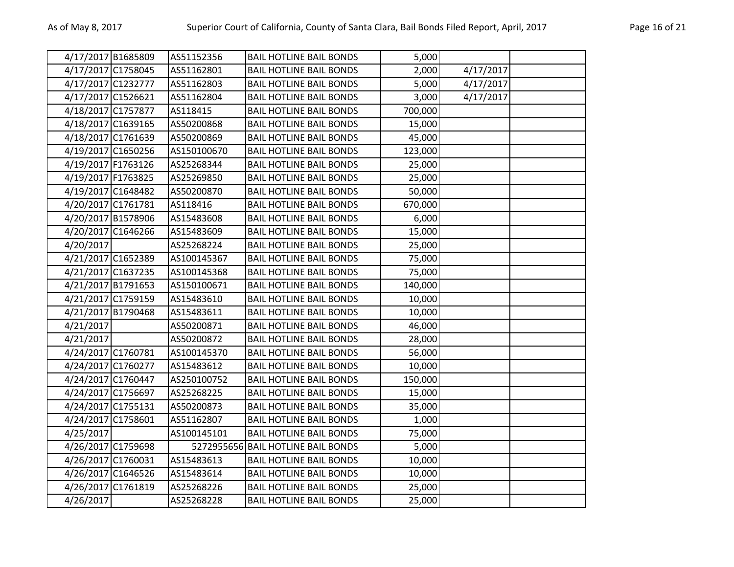|           | 4/17/2017 B1685809 | AS51152356  | <b>BAIL HOTLINE BAIL BONDS</b>     | 5,000   |           |  |
|-----------|--------------------|-------------|------------------------------------|---------|-----------|--|
|           | 4/17/2017 C1758045 | AS51162801  | <b>BAIL HOTLINE BAIL BONDS</b>     | 2,000   | 4/17/2017 |  |
|           | 4/17/2017 C1232777 | AS51162803  | <b>BAIL HOTLINE BAIL BONDS</b>     | 5,000   | 4/17/2017 |  |
|           | 4/17/2017 C1526621 | AS51162804  | <b>BAIL HOTLINE BAIL BONDS</b>     | 3,000   | 4/17/2017 |  |
|           | 4/18/2017 C1757877 | AS118415    | <b>BAIL HOTLINE BAIL BONDS</b>     | 700,000 |           |  |
|           | 4/18/2017 C1639165 | AS50200868  | <b>BAIL HOTLINE BAIL BONDS</b>     | 15,000  |           |  |
|           | 4/18/2017 C1761639 | AS50200869  | <b>BAIL HOTLINE BAIL BONDS</b>     | 45,000  |           |  |
|           | 4/19/2017 C1650256 | AS150100670 | <b>BAIL HOTLINE BAIL BONDS</b>     | 123,000 |           |  |
|           | 4/19/2017 F1763126 | AS25268344  | <b>BAIL HOTLINE BAIL BONDS</b>     | 25,000  |           |  |
|           | 4/19/2017 F1763825 | AS25269850  | <b>BAIL HOTLINE BAIL BONDS</b>     | 25,000  |           |  |
|           | 4/19/2017 C1648482 | AS50200870  | <b>BAIL HOTLINE BAIL BONDS</b>     | 50,000  |           |  |
|           | 4/20/2017 C1761781 | AS118416    | <b>BAIL HOTLINE BAIL BONDS</b>     | 670,000 |           |  |
|           | 4/20/2017 B1578906 | AS15483608  | <b>BAIL HOTLINE BAIL BONDS</b>     | 6,000   |           |  |
|           | 4/20/2017 C1646266 | AS15483609  | <b>BAIL HOTLINE BAIL BONDS</b>     | 15,000  |           |  |
| 4/20/2017 |                    | AS25268224  | <b>BAIL HOTLINE BAIL BONDS</b>     | 25,000  |           |  |
|           | 4/21/2017 C1652389 | AS100145367 | <b>BAIL HOTLINE BAIL BONDS</b>     | 75,000  |           |  |
|           | 4/21/2017 C1637235 | AS100145368 | <b>BAIL HOTLINE BAIL BONDS</b>     | 75,000  |           |  |
|           | 4/21/2017 B1791653 | AS150100671 | <b>BAIL HOTLINE BAIL BONDS</b>     | 140,000 |           |  |
|           | 4/21/2017 C1759159 | AS15483610  | <b>BAIL HOTLINE BAIL BONDS</b>     | 10,000  |           |  |
|           | 4/21/2017 B1790468 | AS15483611  | <b>BAIL HOTLINE BAIL BONDS</b>     | 10,000  |           |  |
| 4/21/2017 |                    | AS50200871  | <b>BAIL HOTLINE BAIL BONDS</b>     | 46,000  |           |  |
| 4/21/2017 |                    | AS50200872  | <b>BAIL HOTLINE BAIL BONDS</b>     | 28,000  |           |  |
|           | 4/24/2017 C1760781 | AS100145370 | <b>BAIL HOTLINE BAIL BONDS</b>     | 56,000  |           |  |
|           | 4/24/2017 C1760277 | AS15483612  | <b>BAIL HOTLINE BAIL BONDS</b>     | 10,000  |           |  |
|           | 4/24/2017 C1760447 | AS250100752 | <b>BAIL HOTLINE BAIL BONDS</b>     | 150,000 |           |  |
|           | 4/24/2017 C1756697 | AS25268225  | <b>BAIL HOTLINE BAIL BONDS</b>     | 15,000  |           |  |
|           | 4/24/2017 C1755131 | AS50200873  | <b>BAIL HOTLINE BAIL BONDS</b>     | 35,000  |           |  |
|           | 4/24/2017 C1758601 | AS51162807  | <b>BAIL HOTLINE BAIL BONDS</b>     | 1,000   |           |  |
| 4/25/2017 |                    | AS100145101 | <b>BAIL HOTLINE BAIL BONDS</b>     | 75,000  |           |  |
|           | 4/26/2017 C1759698 |             | 5272955656 BAIL HOTLINE BAIL BONDS | 5,000   |           |  |
|           | 4/26/2017 C1760031 | AS15483613  | <b>BAIL HOTLINE BAIL BONDS</b>     | 10,000  |           |  |
|           | 4/26/2017 C1646526 | AS15483614  | <b>BAIL HOTLINE BAIL BONDS</b>     | 10,000  |           |  |
|           | 4/26/2017 C1761819 | AS25268226  | <b>BAIL HOTLINE BAIL BONDS</b>     | 25,000  |           |  |
| 4/26/2017 |                    | AS25268228  | <b>BAIL HOTLINE BAIL BONDS</b>     | 25,000  |           |  |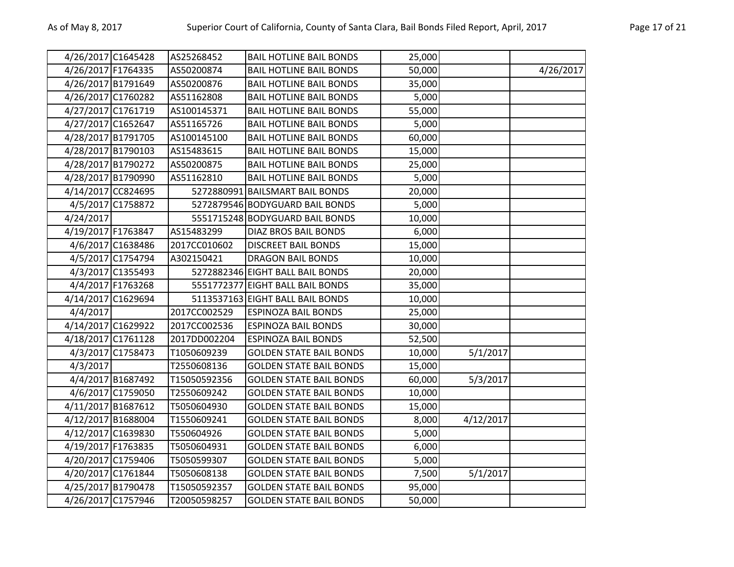| 4/26/2017 C1645428 |                   | AS25268452   | <b>BAIL HOTLINE BAIL BONDS</b>   | 25,000 |           |           |
|--------------------|-------------------|--------------|----------------------------------|--------|-----------|-----------|
| 4/26/2017 F1764335 |                   | AS50200874   | <b>BAIL HOTLINE BAIL BONDS</b>   | 50,000 |           | 4/26/2017 |
| 4/26/2017 B1791649 |                   | AS50200876   | <b>BAIL HOTLINE BAIL BONDS</b>   | 35,000 |           |           |
| 4/26/2017 C1760282 |                   | AS51162808   | <b>BAIL HOTLINE BAIL BONDS</b>   | 5,000  |           |           |
| 4/27/2017 C1761719 |                   | AS100145371  | <b>BAIL HOTLINE BAIL BONDS</b>   | 55,000 |           |           |
| 4/27/2017 C1652647 |                   | AS51165726   | <b>BAIL HOTLINE BAIL BONDS</b>   | 5,000  |           |           |
| 4/28/2017 B1791705 |                   | AS100145100  | <b>BAIL HOTLINE BAIL BONDS</b>   | 60,000 |           |           |
| 4/28/2017 B1790103 |                   | AS15483615   | <b>BAIL HOTLINE BAIL BONDS</b>   | 15,000 |           |           |
| 4/28/2017 B1790272 |                   | AS50200875   | <b>BAIL HOTLINE BAIL BONDS</b>   | 25,000 |           |           |
| 4/28/2017 B1790990 |                   | AS51162810   | <b>BAIL HOTLINE BAIL BONDS</b>   | 5,000  |           |           |
| 4/14/2017 CC824695 |                   |              | 5272880991 BAILSMART BAIL BONDS  | 20,000 |           |           |
|                    | 4/5/2017 C1758872 |              | 5272879546 BODYGUARD BAIL BONDS  | 5,000  |           |           |
| 4/24/2017          |                   |              | 5551715248 BODYGUARD BAIL BONDS  | 10,000 |           |           |
| 4/19/2017 F1763847 |                   | AS15483299   | <b>DIAZ BROS BAIL BONDS</b>      | 6,000  |           |           |
|                    | 4/6/2017 C1638486 | 2017CC010602 | <b>DISCREET BAIL BONDS</b>       | 15,000 |           |           |
|                    | 4/5/2017 C1754794 | A302150421   | <b>DRAGON BAIL BONDS</b>         | 10,000 |           |           |
|                    | 4/3/2017 C1355493 |              | 5272882346 EIGHT BALL BAIL BONDS | 20,000 |           |           |
|                    | 4/4/2017 F1763268 |              | 5551772377 EIGHT BALL BAIL BONDS | 35,000 |           |           |
| 4/14/2017 C1629694 |                   |              | 5113537163 EIGHT BALL BAIL BONDS | 10,000 |           |           |
| 4/4/2017           |                   | 2017CC002529 | <b>ESPINOZA BAIL BONDS</b>       | 25,000 |           |           |
| 4/14/2017 C1629922 |                   | 2017CC002536 | <b>ESPINOZA BAIL BONDS</b>       | 30,000 |           |           |
| 4/18/2017 C1761128 |                   | 2017DD002204 | <b>ESPINOZA BAIL BONDS</b>       | 52,500 |           |           |
|                    | 4/3/2017 C1758473 | T1050609239  | <b>GOLDEN STATE BAIL BONDS</b>   | 10,000 | 5/1/2017  |           |
| 4/3/2017           |                   | T2550608136  | <b>GOLDEN STATE BAIL BONDS</b>   | 15,000 |           |           |
|                    | 4/4/2017 B1687492 | T15050592356 | <b>GOLDEN STATE BAIL BONDS</b>   | 60,000 | 5/3/2017  |           |
|                    | 4/6/2017 C1759050 | T2550609242  | <b>GOLDEN STATE BAIL BONDS</b>   | 10,000 |           |           |
| 4/11/2017 B1687612 |                   | T5050604930  | <b>GOLDEN STATE BAIL BONDS</b>   | 15,000 |           |           |
| 4/12/2017 B1688004 |                   | T1550609241  | <b>GOLDEN STATE BAIL BONDS</b>   | 8,000  | 4/12/2017 |           |
| 4/12/2017 C1639830 |                   | T550604926   | <b>GOLDEN STATE BAIL BONDS</b>   | 5,000  |           |           |
| 4/19/2017 F1763835 |                   | T5050604931  | <b>GOLDEN STATE BAIL BONDS</b>   | 6,000  |           |           |
| 4/20/2017 C1759406 |                   | T5050599307  | <b>GOLDEN STATE BAIL BONDS</b>   | 5,000  |           |           |
| 4/20/2017 C1761844 |                   | T5050608138  | <b>GOLDEN STATE BAIL BONDS</b>   | 7,500  | 5/1/2017  |           |
| 4/25/2017 B1790478 |                   | T15050592357 | <b>GOLDEN STATE BAIL BONDS</b>   | 95,000 |           |           |
| 4/26/2017 C1757946 |                   | T20050598257 | <b>GOLDEN STATE BAIL BONDS</b>   | 50,000 |           |           |
|                    |                   |              |                                  |        |           |           |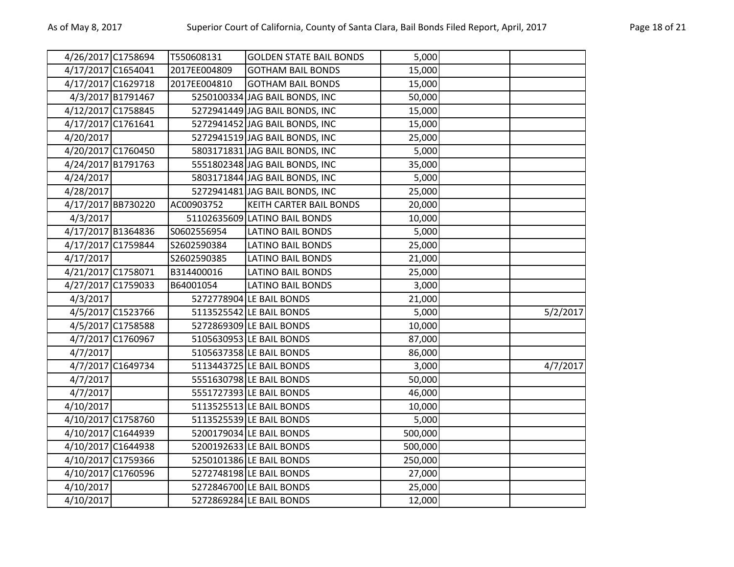| 4/26/2017 C1758694 |                   | T550608131   | <b>GOLDEN STATE BAIL BONDS</b> | 5,000   |          |
|--------------------|-------------------|--------------|--------------------------------|---------|----------|
| 4/17/2017 C1654041 |                   | 2017EE004809 | <b>GOTHAM BAIL BONDS</b>       | 15,000  |          |
| 4/17/2017 C1629718 |                   | 2017EE004810 | <b>GOTHAM BAIL BONDS</b>       | 15,000  |          |
|                    | 4/3/2017 B1791467 |              | 5250100334 JAG BAIL BONDS, INC | 50,000  |          |
| 4/12/2017 C1758845 |                   |              | 5272941449 JAG BAIL BONDS, INC | 15,000  |          |
| 4/17/2017 C1761641 |                   |              | 5272941452 JAG BAIL BONDS, INC | 15,000  |          |
| 4/20/2017          |                   |              | 5272941519 JAG BAIL BONDS, INC | 25,000  |          |
| 4/20/2017 C1760450 |                   |              | 5803171831 JAG BAIL BONDS, INC | 5,000   |          |
| 4/24/2017 B1791763 |                   |              | 5551802348 JAG BAIL BONDS, INC | 35,000  |          |
| 4/24/2017          |                   |              | 5803171844 JAG BAIL BONDS, INC | 5,000   |          |
| 4/28/2017          |                   |              | 5272941481 JAG BAIL BONDS, INC | 25,000  |          |
| 4/17/2017 BB730220 |                   | AC00903752   | <b>KEITH CARTER BAIL BONDS</b> | 20,000  |          |
| 4/3/2017           |                   |              | 51102635609 LATINO BAIL BONDS  | 10,000  |          |
| 4/17/2017 B1364836 |                   | S0602556954  | <b>LATINO BAIL BONDS</b>       | 5,000   |          |
| 4/17/2017 C1759844 |                   | S2602590384  | <b>LATINO BAIL BONDS</b>       | 25,000  |          |
| 4/17/2017          |                   | S2602590385  | <b>LATINO BAIL BONDS</b>       | 21,000  |          |
| 4/21/2017 C1758071 |                   | B314400016   | LATINO BAIL BONDS              | 25,000  |          |
| 4/27/2017 C1759033 |                   | B64001054    | <b>LATINO BAIL BONDS</b>       | 3,000   |          |
| 4/3/2017           |                   |              | 5272778904 LE BAIL BONDS       | 21,000  |          |
|                    | 4/5/2017 C1523766 |              | 5113525542 LE BAIL BONDS       | 5,000   | 5/2/2017 |
|                    | 4/5/2017 C1758588 |              | 5272869309 LE BAIL BONDS       | 10,000  |          |
|                    | 4/7/2017 C1760967 |              | 5105630953 LE BAIL BONDS       | 87,000  |          |
| 4/7/2017           |                   |              | 5105637358 LE BAIL BONDS       | 86,000  |          |
|                    | 4/7/2017 C1649734 |              | 5113443725 LE BAIL BONDS       | 3,000   | 4/7/2017 |
| 4/7/2017           |                   |              | 5551630798 LE BAIL BONDS       | 50,000  |          |
| 4/7/2017           |                   |              | 5551727393 LE BAIL BONDS       | 46,000  |          |
| 4/10/2017          |                   |              | 5113525513 LE BAIL BONDS       | 10,000  |          |
| 4/10/2017 C1758760 |                   |              | 5113525539 LE BAIL BONDS       | 5,000   |          |
| 4/10/2017 C1644939 |                   |              | 5200179034 LE BAIL BONDS       | 500,000 |          |
| 4/10/2017 C1644938 |                   |              | 5200192633 LE BAIL BONDS       | 500,000 |          |
| 4/10/2017 C1759366 |                   |              | 5250101386 LE BAIL BONDS       | 250,000 |          |
| 4/10/2017 C1760596 |                   |              | 5272748198 LE BAIL BONDS       | 27,000  |          |
| 4/10/2017          |                   |              | 5272846700 LE BAIL BONDS       | 25,000  |          |
| 4/10/2017          |                   |              | 5272869284 LE BAIL BONDS       | 12,000  |          |
|                    |                   |              |                                |         |          |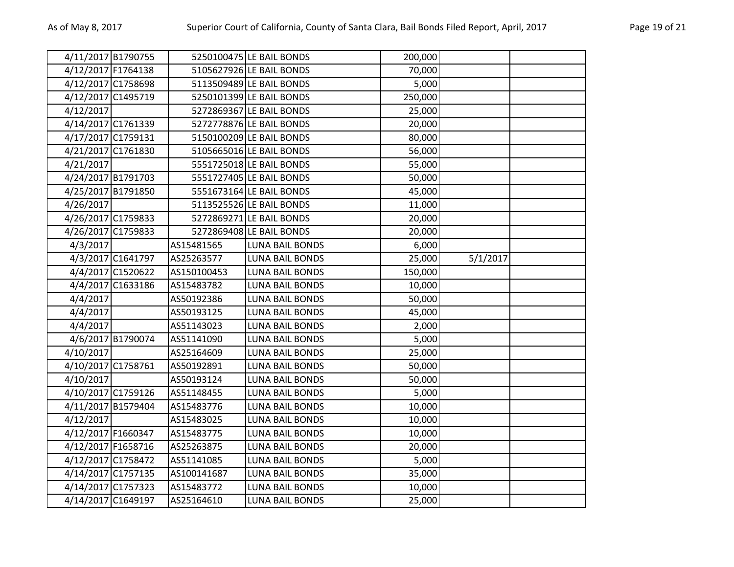| 4/11/2017 B1790755 |                   |             | 5250100475 LE BAIL BONDS | 200,000 |          |  |
|--------------------|-------------------|-------------|--------------------------|---------|----------|--|
| 4/12/2017 F1764138 |                   |             | 5105627926 LE BAIL BONDS | 70,000  |          |  |
| 4/12/2017 C1758698 |                   |             | 5113509489 LE BAIL BONDS | 5,000   |          |  |
| 4/12/2017 C1495719 |                   |             | 5250101399 LE BAIL BONDS | 250,000 |          |  |
| 4/12/2017          |                   |             | 5272869367 LE BAIL BONDS | 25,000  |          |  |
| 4/14/2017 C1761339 |                   |             | 5272778876 LE BAIL BONDS | 20,000  |          |  |
| 4/17/2017 C1759131 |                   |             | 5150100209 LE BAIL BONDS | 80,000  |          |  |
| 4/21/2017 C1761830 |                   |             | 5105665016 LE BAIL BONDS | 56,000  |          |  |
| 4/21/2017          |                   |             | 5551725018 LE BAIL BONDS | 55,000  |          |  |
| 4/24/2017 B1791703 |                   |             | 5551727405 LE BAIL BONDS | 50,000  |          |  |
| 4/25/2017 B1791850 |                   |             | 5551673164 LE BAIL BONDS | 45,000  |          |  |
| 4/26/2017          |                   |             | 5113525526 LE BAIL BONDS | 11,000  |          |  |
| 4/26/2017 C1759833 |                   |             | 5272869271 LE BAIL BONDS | 20,000  |          |  |
| 4/26/2017 C1759833 |                   |             | 5272869408 LE BAIL BONDS | 20,000  |          |  |
| 4/3/2017           |                   | AS15481565  | <b>LUNA BAIL BONDS</b>   | 6,000   |          |  |
|                    | 4/3/2017 C1641797 | AS25263577  | <b>LUNA BAIL BONDS</b>   | 25,000  | 5/1/2017 |  |
|                    | 4/4/2017 C1520622 | AS150100453 | LUNA BAIL BONDS          | 150,000 |          |  |
|                    | 4/4/2017 C1633186 | AS15483782  | <b>LUNA BAIL BONDS</b>   | 10,000  |          |  |
| 4/4/2017           |                   | AS50192386  | <b>LUNA BAIL BONDS</b>   | 50,000  |          |  |
| 4/4/2017           |                   | AS50193125  | <b>LUNA BAIL BONDS</b>   | 45,000  |          |  |
| 4/4/2017           |                   | AS51143023  | <b>LUNA BAIL BONDS</b>   | 2,000   |          |  |
|                    | 4/6/2017 B1790074 | AS51141090  | <b>LUNA BAIL BONDS</b>   | 5,000   |          |  |
| 4/10/2017          |                   | AS25164609  | <b>LUNA BAIL BONDS</b>   | 25,000  |          |  |
| 4/10/2017 C1758761 |                   | AS50192891  | <b>LUNA BAIL BONDS</b>   | 50,000  |          |  |
| 4/10/2017          |                   | AS50193124  | <b>LUNA BAIL BONDS</b>   | 50,000  |          |  |
| 4/10/2017 C1759126 |                   | AS51148455  | <b>LUNA BAIL BONDS</b>   | 5,000   |          |  |
| 4/11/2017 B1579404 |                   | AS15483776  | <b>LUNA BAIL BONDS</b>   | 10,000  |          |  |
| 4/12/2017          |                   | AS15483025  | <b>LUNA BAIL BONDS</b>   | 10,000  |          |  |
| 4/12/2017 F1660347 |                   | AS15483775  | <b>LUNA BAIL BONDS</b>   | 10,000  |          |  |
| 4/12/2017 F1658716 |                   | AS25263875  | <b>LUNA BAIL BONDS</b>   | 20,000  |          |  |
| 4/12/2017 C1758472 |                   | AS51141085  | LUNA BAIL BONDS          | 5,000   |          |  |
| 4/14/2017 C1757135 |                   | AS100141687 | <b>LUNA BAIL BONDS</b>   | 35,000  |          |  |
| 4/14/2017 C1757323 |                   | AS15483772  | <b>LUNA BAIL BONDS</b>   | 10,000  |          |  |
| 4/14/2017 C1649197 |                   | AS25164610  | <b>LUNA BAIL BONDS</b>   | 25,000  |          |  |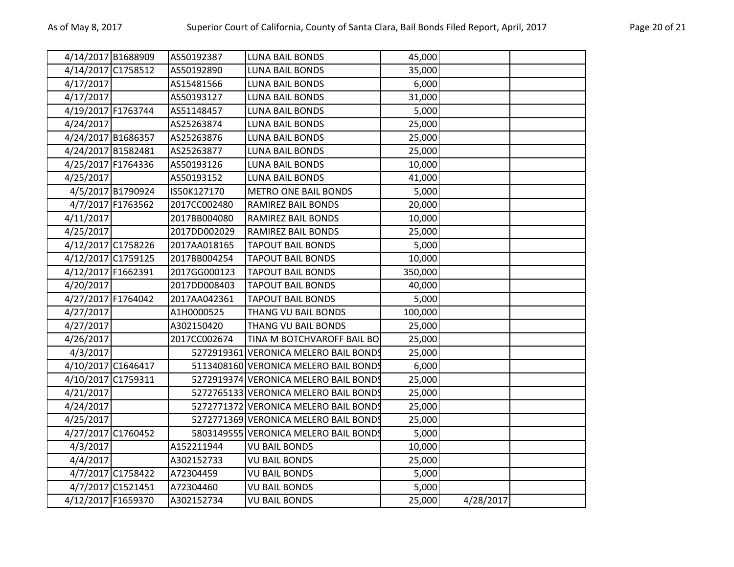| 4/14/2017 B1688909 |                   | AS50192387   | <b>LUNA BAIL BONDS</b>                | 45,000  |           |  |
|--------------------|-------------------|--------------|---------------------------------------|---------|-----------|--|
| 4/14/2017 C1758512 |                   | AS50192890   | <b>LUNA BAIL BONDS</b>                | 35,000  |           |  |
| 4/17/2017          |                   | AS15481566   | <b>LUNA BAIL BONDS</b>                | 6,000   |           |  |
| 4/17/2017          |                   | AS50193127   | <b>LUNA BAIL BONDS</b>                | 31,000  |           |  |
| 4/19/2017 F1763744 |                   | AS51148457   | <b>LUNA BAIL BONDS</b>                | 5,000   |           |  |
| 4/24/2017          |                   | AS25263874   | <b>LUNA BAIL BONDS</b>                | 25,000  |           |  |
| 4/24/2017 B1686357 |                   | AS25263876   | LUNA BAIL BONDS                       | 25,000  |           |  |
| 4/24/2017 B1582481 |                   | AS25263877   | <b>LUNA BAIL BONDS</b>                | 25,000  |           |  |
| 4/25/2017 F1764336 |                   | AS50193126   | <b>LUNA BAIL BONDS</b>                | 10,000  |           |  |
| 4/25/2017          |                   | AS50193152   | <b>LUNA BAIL BONDS</b>                | 41,000  |           |  |
|                    | 4/5/2017 B1790924 | IS50K127170  | <b>METRO ONE BAIL BONDS</b>           | 5,000   |           |  |
|                    | 4/7/2017 F1763562 | 2017CC002480 | RAMIREZ BAIL BONDS                    | 20,000  |           |  |
| 4/11/2017          |                   | 2017BB004080 | RAMIREZ BAIL BONDS                    | 10,000  |           |  |
| 4/25/2017          |                   | 2017DD002029 | RAMIREZ BAIL BONDS                    | 25,000  |           |  |
| 4/12/2017 C1758226 |                   | 2017AA018165 | <b>TAPOUT BAIL BONDS</b>              | 5,000   |           |  |
| 4/12/2017 C1759125 |                   | 2017BB004254 | <b>TAPOUT BAIL BONDS</b>              | 10,000  |           |  |
| 4/12/2017 F1662391 |                   | 2017GG000123 | <b>TAPOUT BAIL BONDS</b>              | 350,000 |           |  |
| 4/20/2017          |                   | 2017DD008403 | <b>TAPOUT BAIL BONDS</b>              | 40,000  |           |  |
| 4/27/2017 F1764042 |                   | 2017AA042361 | <b>TAPOUT BAIL BONDS</b>              | 5,000   |           |  |
| 4/27/2017          |                   | A1H0000525   | THANG VU BAIL BONDS                   | 100,000 |           |  |
| 4/27/2017          |                   | A302150420   | THANG VU BAIL BONDS                   | 25,000  |           |  |
| 4/26/2017          |                   | 2017CC002674 | TINA M BOTCHVAROFF BAIL BO            | 25,000  |           |  |
| 4/3/2017           |                   |              | 5272919361 VERONICA MELERO BAIL BONDS | 25,000  |           |  |
| 4/10/2017 C1646417 |                   |              | 5113408160 VERONICA MELERO BAIL BONDS | 6,000   |           |  |
| 4/10/2017 C1759311 |                   |              | 5272919374 VERONICA MELERO BAIL BONDS | 25,000  |           |  |
| 4/21/2017          |                   |              | 5272765133 VERONICA MELERO BAIL BONDS | 25,000  |           |  |
| 4/24/2017          |                   |              | 5272771372 VERONICA MELERO BAIL BONDS | 25,000  |           |  |
| 4/25/2017          |                   |              | 5272771369 VERONICA MELERO BAIL BONDS | 25,000  |           |  |
| 4/27/2017 C1760452 |                   |              | 5803149555 VERONICA MELERO BAIL BONDS | 5,000   |           |  |
| 4/3/2017           |                   | A152211944   | <b>VU BAIL BONDS</b>                  | 10,000  |           |  |
| 4/4/2017           |                   | A302152733   | <b>VU BAIL BONDS</b>                  | 25,000  |           |  |
|                    | 4/7/2017 C1758422 | A72304459    | <b>VU BAIL BONDS</b>                  | 5,000   |           |  |
|                    | 4/7/2017 C1521451 | A72304460    | <b>VU BAIL BONDS</b>                  | 5,000   |           |  |
| 4/12/2017 F1659370 |                   | A302152734   | <b>VU BAIL BONDS</b>                  | 25,000  | 4/28/2017 |  |
|                    |                   |              |                                       |         |           |  |